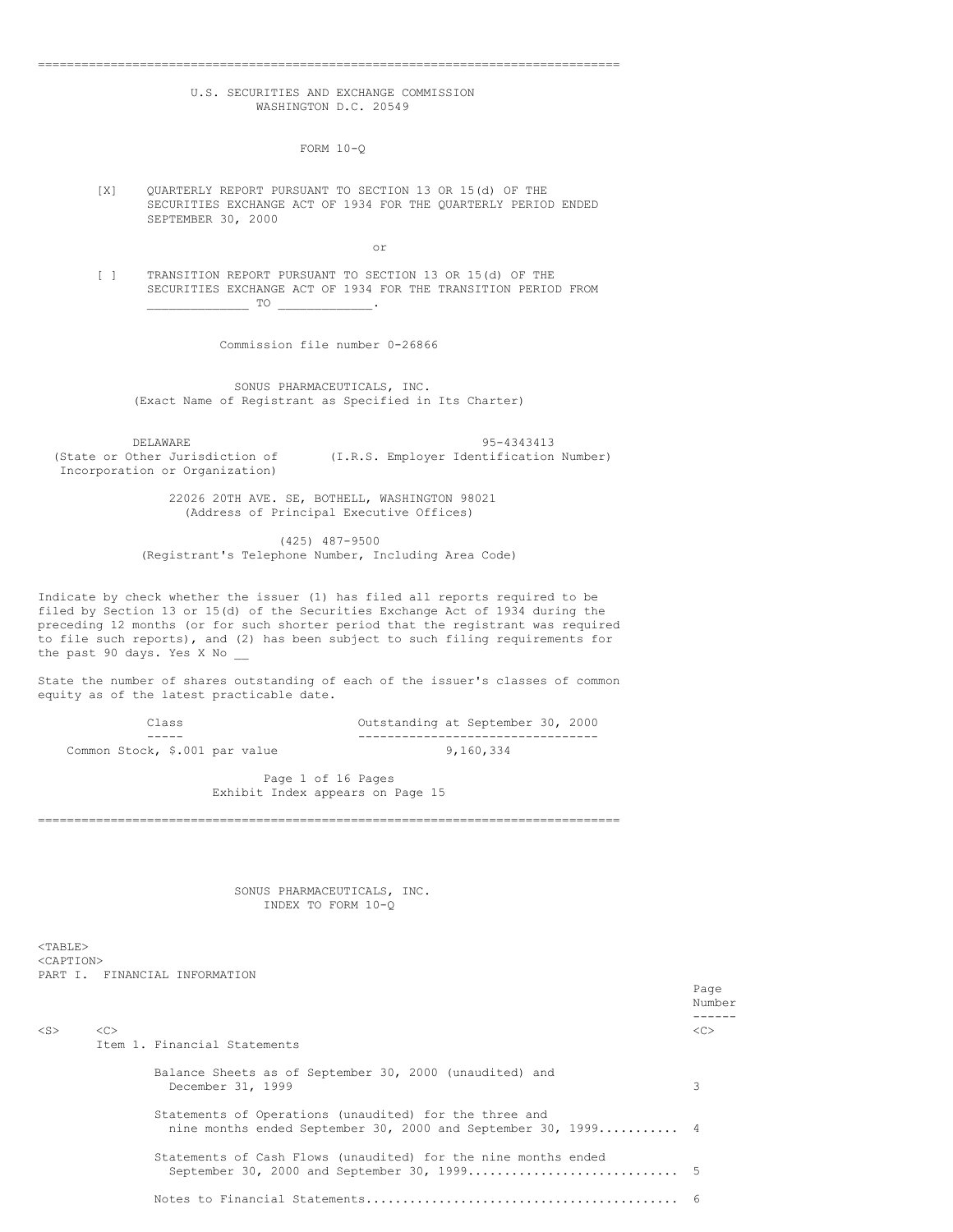## U.S. SECURITIES AND EXCHANGE COMMISSION WASHINGTON D.C. 20549

================================================================================

FORM 10-Q

[X] QUARTERLY REPORT PURSUANT TO SECTION 13 OR 15(d) OF THE SECURITIES EXCHANGE ACT OF 1934 FOR THE QUARTERLY PERIOD ENDED SEPTEMBER 30, 2000

or

[ ] TRANSITION REPORT PURSUANT TO SECTION 13 OR 15(d) OF THE SECURITIES EXCHANGE ACT OF 1934 FOR THE TRANSITION PERIOD FROM  $\frac{1}{\sqrt{1-\frac{1}{2}}}$  TO  $\frac{1}{\sqrt{1-\frac{1}{2}}}$ 

Commission file number 0-26866

SONUS PHARMACEUTICALS, INC. (Exact Name of Registrant as Specified in Its Charter)

DELAWARE 95-4343413<br>(State or Other Jurisdiction of (I.R.S. Employer Identification) (I.R.S. Employer Identification Number) Incorporation or Organization)

> 22026 20TH AVE. SE, BOTHELL, WASHINGTON 98021 (Address of Principal Executive Offices)

(425) 487-9500 (Registrant's Telephone Number, Including Area Code)

Indicate by check whether the issuer (1) has filed all reports required to be filed by Section 13 or 15(d) of the Securities Exchange Act of 1934 during the preceding 12 months (or for such shorter period that the registrant was required to file such reports), and (2) has been subject to such filing requirements for the past 90 days. Yes X No

State the number of shares outstanding of each of the issuer's classes of common equity as of the latest practicable date.

| Class                          | Outstanding at September 30, 2000 |
|--------------------------------|-----------------------------------|
|                                |                                   |
| Common Stock, \$.001 par value | 9.160.334                         |

Page 1 of 16 Pages Exhibit Index appears on Page 15

================================================================================

SONUS PHARMACEUTICALS, INC. INDEX TO FORM 10-Q

<TABLE> <CAPTION> PART I. FINANCIAL INFORMATION

|           |               |                                                                                                                         | Page<br>Number |
|-----------|---------------|-------------------------------------------------------------------------------------------------------------------------|----------------|
| $<$ S $>$ | < <sub></sub> | Item 1. Financial Statements                                                                                            | < <sub></sub>  |
|           |               | Balance Sheets as of September 30, 2000 (unaudited) and<br>December 31, 1999                                            |                |
|           |               | Statements of Operations (unaudited) for the three and<br>nine months ended September 30, 2000 and September 30, 1999 4 |                |
|           |               | Statements of Cash Flows (unaudited) for the nine months ended                                                          |                |
|           |               |                                                                                                                         |                |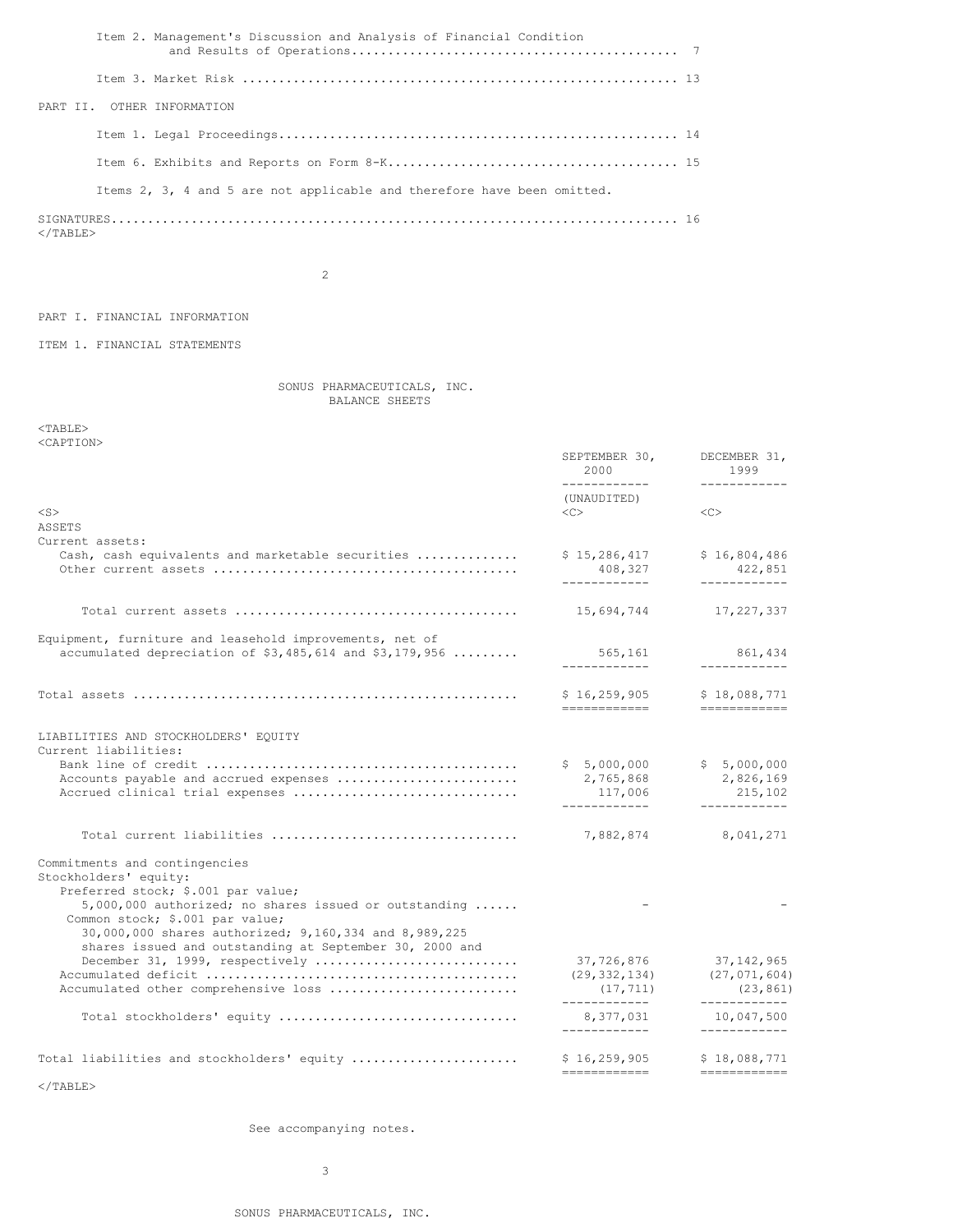|  | Item 2. Management's Discussion and Analysis of Financial Condition     |  |
|--|-------------------------------------------------------------------------|--|
|  |                                                                         |  |
|  | PART II. OTHER INFORMATION                                              |  |
|  |                                                                         |  |
|  |                                                                         |  |
|  | Items 2, 3, 4 and 5 are not applicable and therefore have been omitted. |  |
|  |                                                                         |  |

  |  |2

PART I. FINANCIAL INFORMATION

ITEM 1. FINANCIAL STATEMENTS

SONUS PHARMACEUTICALS, INC. BALANCE SHEETS

<TABLE> <CAPTION>

|                                                                                                                                                                                         | SEPTEMBER 30,<br>2000<br>____________                                                                                                                                                                                                                                                                                                                                                                                                                                                                                                 | DECEMBER 31,<br>1999<br>------------                                                                                                                                                                                                                                                                                                                                                                                                                                                                                                                       |
|-----------------------------------------------------------------------------------------------------------------------------------------------------------------------------------------|---------------------------------------------------------------------------------------------------------------------------------------------------------------------------------------------------------------------------------------------------------------------------------------------------------------------------------------------------------------------------------------------------------------------------------------------------------------------------------------------------------------------------------------|------------------------------------------------------------------------------------------------------------------------------------------------------------------------------------------------------------------------------------------------------------------------------------------------------------------------------------------------------------------------------------------------------------------------------------------------------------------------------------------------------------------------------------------------------------|
|                                                                                                                                                                                         | (UNAUDITED)                                                                                                                                                                                                                                                                                                                                                                                                                                                                                                                           |                                                                                                                                                                                                                                                                                                                                                                                                                                                                                                                                                            |
| $<$ S $>$<br>ASSETS                                                                                                                                                                     | $\langle$ C>                                                                                                                                                                                                                                                                                                                                                                                                                                                                                                                          | <<                                                                                                                                                                                                                                                                                                                                                                                                                                                                                                                                                         |
| Current assets:                                                                                                                                                                         |                                                                                                                                                                                                                                                                                                                                                                                                                                                                                                                                       |                                                                                                                                                                                                                                                                                                                                                                                                                                                                                                                                                            |
| Cash, cash equivalents and marketable securities                                                                                                                                        | \$15,286,417<br>408,327<br>____________                                                                                                                                                                                                                                                                                                                                                                                                                                                                                               | \$16,804,486<br>422,851<br>------------                                                                                                                                                                                                                                                                                                                                                                                                                                                                                                                    |
|                                                                                                                                                                                         |                                                                                                                                                                                                                                                                                                                                                                                                                                                                                                                                       |                                                                                                                                                                                                                                                                                                                                                                                                                                                                                                                                                            |
|                                                                                                                                                                                         | 15,694,744                                                                                                                                                                                                                                                                                                                                                                                                                                                                                                                            | 17,227,337                                                                                                                                                                                                                                                                                                                                                                                                                                                                                                                                                 |
| Equipment, furniture and leasehold improvements, net of                                                                                                                                 |                                                                                                                                                                                                                                                                                                                                                                                                                                                                                                                                       |                                                                                                                                                                                                                                                                                                                                                                                                                                                                                                                                                            |
| accumulated depreciation of \$3,485,614 and \$3,179,956                                                                                                                                 | 565,161                                                                                                                                                                                                                                                                                                                                                                                                                                                                                                                               | 861,434<br>____________                                                                                                                                                                                                                                                                                                                                                                                                                                                                                                                                    |
|                                                                                                                                                                                         | \$16, 259, 905                                                                                                                                                                                                                                                                                                                                                                                                                                                                                                                        | \$18,088,771                                                                                                                                                                                                                                                                                                                                                                                                                                                                                                                                               |
|                                                                                                                                                                                         | ============                                                                                                                                                                                                                                                                                                                                                                                                                                                                                                                          | $\begin{tabular}{ll} \multicolumn{2}{l}{{\color{red}\boldsymbol{=}}} & \multicolumn{2}{l}{\color{blue}\boldsymbol{=}} & \multicolumn{2}{l}{\color{blue}\boldsymbol{=}} & \multicolumn{2}{l}{\color{blue}\boldsymbol{=}} & \multicolumn{2}{l}{\color{blue}\boldsymbol{=}} & \multicolumn{2}{l}{\color{blue}\boldsymbol{=}} & \multicolumn{2}{l}{\color{blue}\boldsymbol{=}} & \multicolumn{2}{l}{\color{blue}\boldsymbol{=}} & \multicolumn{2}{l}{\color{blue}\boldsymbol{=}} & \multicolumn{2}{l}{\color{blue}\boldsymbol{=}} & \multicolumn{2}{l}{\color$ |
| LIABILITIES AND STOCKHOLDERS' EQUITY<br>Current liabilities:                                                                                                                            |                                                                                                                                                                                                                                                                                                                                                                                                                                                                                                                                       |                                                                                                                                                                                                                                                                                                                                                                                                                                                                                                                                                            |
| Accounts payable and accrued expenses                                                                                                                                                   | \$5,000,000<br>2,765,868                                                                                                                                                                                                                                                                                                                                                                                                                                                                                                              | \$5,000,000<br>2,826,169                                                                                                                                                                                                                                                                                                                                                                                                                                                                                                                                   |
| Accrued clinical trial expenses                                                                                                                                                         | 117,006<br>------------                                                                                                                                                                                                                                                                                                                                                                                                                                                                                                               | 215,102<br>------------                                                                                                                                                                                                                                                                                                                                                                                                                                                                                                                                    |
|                                                                                                                                                                                         |                                                                                                                                                                                                                                                                                                                                                                                                                                                                                                                                       |                                                                                                                                                                                                                                                                                                                                                                                                                                                                                                                                                            |
| Total current liabilities                                                                                                                                                               | 7,882,874                                                                                                                                                                                                                                                                                                                                                                                                                                                                                                                             | 8,041,271                                                                                                                                                                                                                                                                                                                                                                                                                                                                                                                                                  |
| Commitments and contingencies<br>Stockholders' equity:                                                                                                                                  |                                                                                                                                                                                                                                                                                                                                                                                                                                                                                                                                       |                                                                                                                                                                                                                                                                                                                                                                                                                                                                                                                                                            |
| Preferred stock; \$.001 par value;<br>5,000,000 authorized; no shares issued or outstanding<br>Common stock; \$.001 par value;<br>30,000,000 shares authorized; 9,160,334 and 8,989,225 |                                                                                                                                                                                                                                                                                                                                                                                                                                                                                                                                       |                                                                                                                                                                                                                                                                                                                                                                                                                                                                                                                                                            |
| shares issued and outstanding at September 30, 2000 and<br>December 31, 1999, respectively                                                                                              | 37,726,876                                                                                                                                                                                                                                                                                                                                                                                                                                                                                                                            | 37, 142, 965                                                                                                                                                                                                                                                                                                                                                                                                                                                                                                                                               |
| Accumulated other comprehensive loss                                                                                                                                                    | (29, 332, 134)<br>(17, 711)                                                                                                                                                                                                                                                                                                                                                                                                                                                                                                           | (27, 071, 604)<br>(23, 861)                                                                                                                                                                                                                                                                                                                                                                                                                                                                                                                                |
| Total stockholders' equity                                                                                                                                                              | ____________<br>8,377,031                                                                                                                                                                                                                                                                                                                                                                                                                                                                                                             | ------------<br>10,047,500                                                                                                                                                                                                                                                                                                                                                                                                                                                                                                                                 |
|                                                                                                                                                                                         | ____________                                                                                                                                                                                                                                                                                                                                                                                                                                                                                                                          | ____________                                                                                                                                                                                                                                                                                                                                                                                                                                                                                                                                               |
| Total liabilities and stockholders' equity                                                                                                                                              | \$16, 259, 905<br>$\begin{tabular}{ll} \multicolumn{3}{l}{{\color{blue}\textbf{m}}} = \multicolumn{3}{l}{\color{blue}\textbf{m}} = \multicolumn{3}{l}{\color{blue}\textbf{m}} = \multicolumn{3}{l}{\color{blue}\textbf{m}} = \multicolumn{3}{l}{\color{blue}\textbf{m}} = \multicolumn{3}{l}{\color{blue}\textbf{m}} = \multicolumn{3}{l}{\color{blue}\textbf{m}} = \multicolumn{3}{l}{\color{blue}\textbf{m}} = \multicolumn{3}{l}{\color{blue}\textbf{m}} = \multicolumn{3}{l}{\color{blue}\textbf{m}} = \multicolumn{3}{l}{\color$ | \$18,088,771<br>============                                                                                                                                                                                                                                                                                                                                                                                                                                                                                                                               |

 $\rm <$  /TABLE>

See accompanying notes.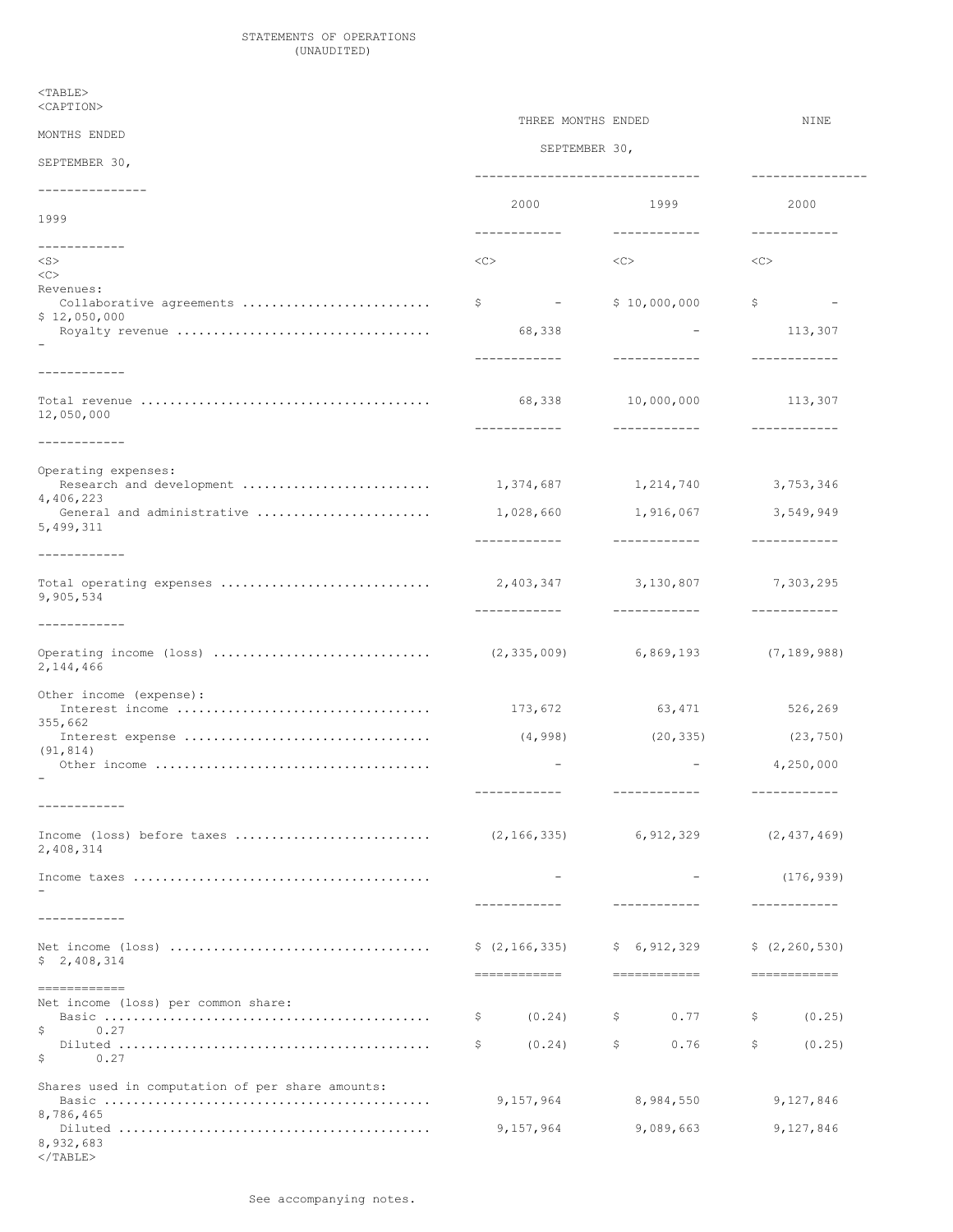## STATEMENTS OF OPERATIONS (UNAUDITED)

 $<$ TABLE>

8,932,683  $<$ /TABLE>

# <CAPTION> THREE MONTHS ENDED NINE MONTHS ENDED SEPTEMBER 30, SEPTEMBER 30, ------------------------------- ---------------- --------------- 2000 1999 2000 1999 ------------ ------------ ------------ ------------ <S> <C> <C> <C>  $<$ Revenues: Collaborative agreements .......................... \$ - \$ 10,000,000 \$ - \$ 12,050,000 Royalty revenue ................................... 68,338 - 113,307 - ------------ ------------ ------------ ------------ Total revenue ........................................ 68,338 10,000,000 113,307 12,050,000 ------------ ------------ ------------ ------------ Operating expenses: Research and development .......................... 1,374,687 1,214,740 3,753,346 4,406,223 General and administrative ........................ 1,028,660 1,916,067 3,549,949 5,499,311 ------------ ------------ ------------ ------------ Total operating expenses ............................. 2,403,347 3,130,807 7,303,295 9,905,534 ------------ ------------ ------------ ------------ Operating income (loss) .............................. (2,335,009) 6,869,193 (7,189,988) 2,144,466 Other income (expense): Interest income ................................... 173,672 63,471 526,269 355,662 Interest expense .................................. (4,998) (20,335) (23,750) (91,814) Other income ...................................... - - 4,250,000 - ------------ ------------ ------------ ------------ Income (loss) before taxes ........................... (2,166,335) 6,912,329 (2,437,469) 2,408,314 Income taxes ......................................... - - (176,939) - ------------ ------------ ------------ ------------ Net income (loss) .................................... \$ (2,166,335) \$ 6,912,329 \$ (2,260,530) \$ 2,408,314 ============ ============ ============ ============ Net income (loss) per common share: Basic ............................................. \$ (0.24) \$ 0.77 \$ (0.25) \$ 0.27 Diluted ........................................... \$ (0.24) \$ 0.76 \$ (0.25) \$ 0.27 Shares used in computation of per share amounts: Basic ............................................. 9,157,964 8,984,550 9,127,846 8,786,465 Diluted ........................................... 9,157,964 9,089,663 9,127,846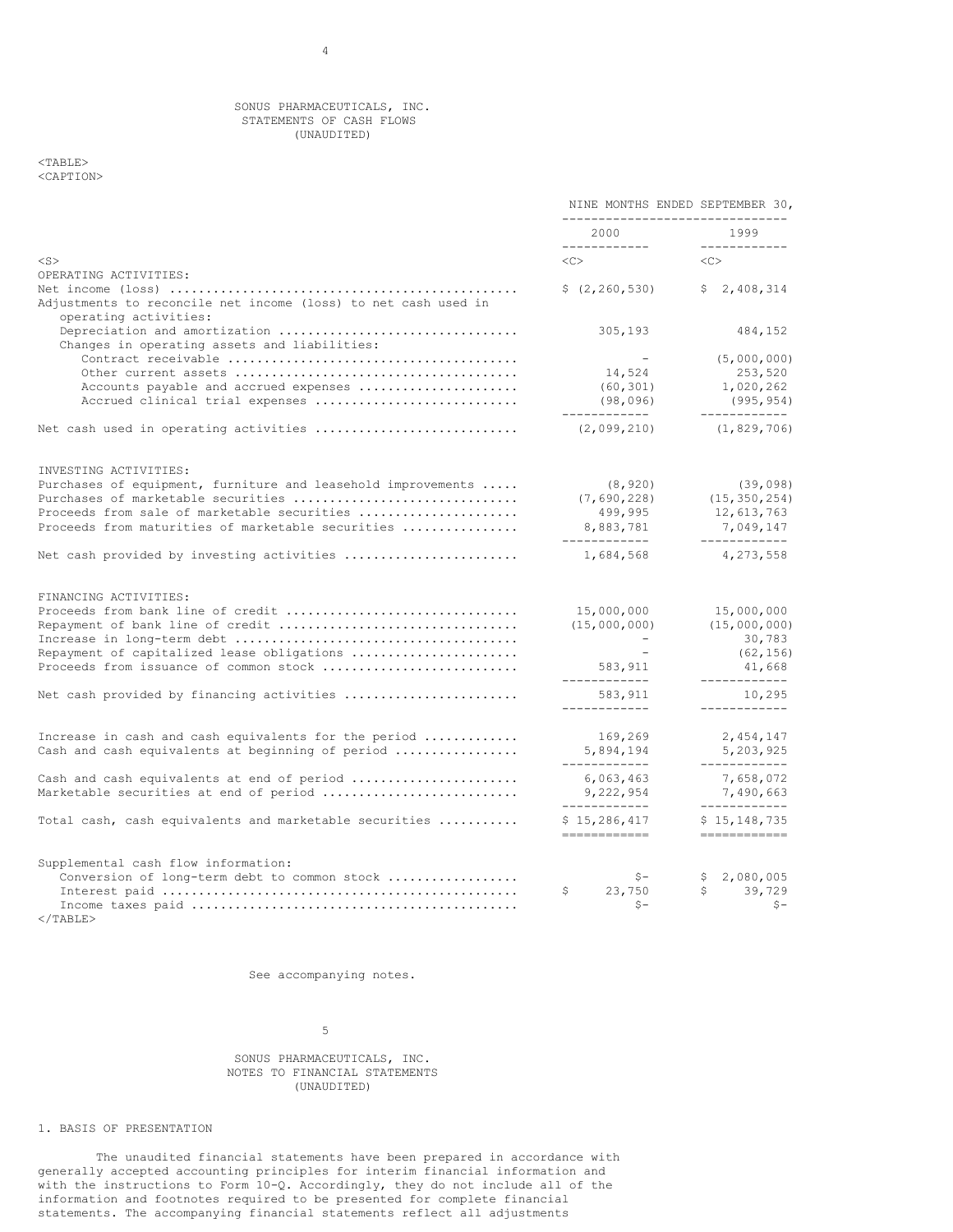## SONUS PHARMACEUTICALS, INC. STATEMENTS OF CASH FLOWS (UNAUDITED)

## <TABLE> <CAPTION>

|                                                                                         | NINE MONTHS ENDED SEPTEMBER 30,<br>------------------------- |                                        |
|-----------------------------------------------------------------------------------------|--------------------------------------------------------------|----------------------------------------|
|                                                                                         | 2000<br>____________                                         | 1999<br>------------                   |
| $<$ S $>$                                                                               | $CC$ >                                                       | $\langle C \rangle$                    |
| OPERATING ACTIVITIES:                                                                   |                                                              |                                        |
| Adjustments to reconcile net income (loss) to net cash used in<br>operating activities: | \$(2, 260, 530)                                              | \$2,408,314                            |
| Depreciation and amortization<br>Changes in operating assets and liabilities:           | 305,193                                                      | 484,152                                |
|                                                                                         |                                                              | (5,000,000)                            |
|                                                                                         | 14,524                                                       | 253,520                                |
| Accounts payable and accrued expenses                                                   | (60, 301)                                                    | 1,020,262                              |
| Accrued clinical trial expenses                                                         | (98, 096)                                                    | (995, 954)                             |
| Net cash used in operating activities                                                   | ------------<br>(2,099,210)                                  | ------------<br>(1, 829, 706)          |
| INVESTING ACTIVITIES:                                                                   |                                                              |                                        |
| Purchases of equipment, furniture and leasehold improvements $\ldots$ .                 | (8, 920)                                                     | (39, 098)                              |
| Purchases of marketable securities                                                      | (7, 690, 228)                                                | (15, 350, 254)                         |
| Proceeds from sale of marketable securities                                             | 499,995                                                      | 12,613,763                             |
| Proceeds from maturities of marketable securities                                       | 8,883,781<br>-------------                                   | 7,049,147<br>------------              |
| Net cash provided by investing activities                                               | 1,684,568                                                    | 4,273,558                              |
| FINANCING ACTIVITIES:                                                                   |                                                              |                                        |
| Proceeds from bank line of credit                                                       | 15,000,000                                                   | 15,000,000                             |
| Repayment of bank line of credit                                                        | (15,000,000)                                                 | (15,000,000)                           |
|                                                                                         | $\sim$                                                       | 30,783                                 |
| Repayment of capitalized lease obligations                                              |                                                              | (62, 156)                              |
| Proceeds from issuance of common stock                                                  | 583,911                                                      | 41,668                                 |
| Net cash provided by financing activities                                               | ------------<br>583,911<br>____________                      | ------------<br>10,295<br>____________ |
|                                                                                         |                                                              |                                        |
| Increase in cash and cash equivalents for the period                                    | 169,269                                                      | 2,454,147                              |
| Cash and cash equivalents at beginning of period                                        | 5,894,194                                                    | 5,203,925                              |
| Cash and cash equivalents at end of period                                              | ____________<br>6,063,463                                    | ------------<br>7,658,072              |
| Marketable securities at end of period                                                  | 9,222,954                                                    | 7,490,663                              |
|                                                                                         | ____________                                                 | ------------                           |
| Total cash, cash equivalents and marketable securities                                  | \$15, 286, 417<br>------------                               | \$15, 148, 735<br>============         |
| Supplemental cash flow information:                                                     |                                                              |                                        |
| Conversion of long-term debt to common stock                                            | $S-$                                                         | \$2,080,005                            |
|                                                                                         | 23,750<br>\$                                                 | S<br>39,729                            |
|                                                                                         | $S -$                                                        | $S -$                                  |

</TABLE>

See accompanying notes.

### 5

## SONUS PHARMACEUTICALS, INC. NOTES TO FINANCIAL STATEMENTS (UNAUDITED)

# 1. BASIS OF PRESENTATION

The unaudited financial statements have been prepared in accordance with generally accepted accounting principles for interim financial information and with the instructions to Form 10-Q. Accordingly, they do not include all of the information and footnotes required to be presented for complete financial statements. The accompanying financial statements reflect all adjustments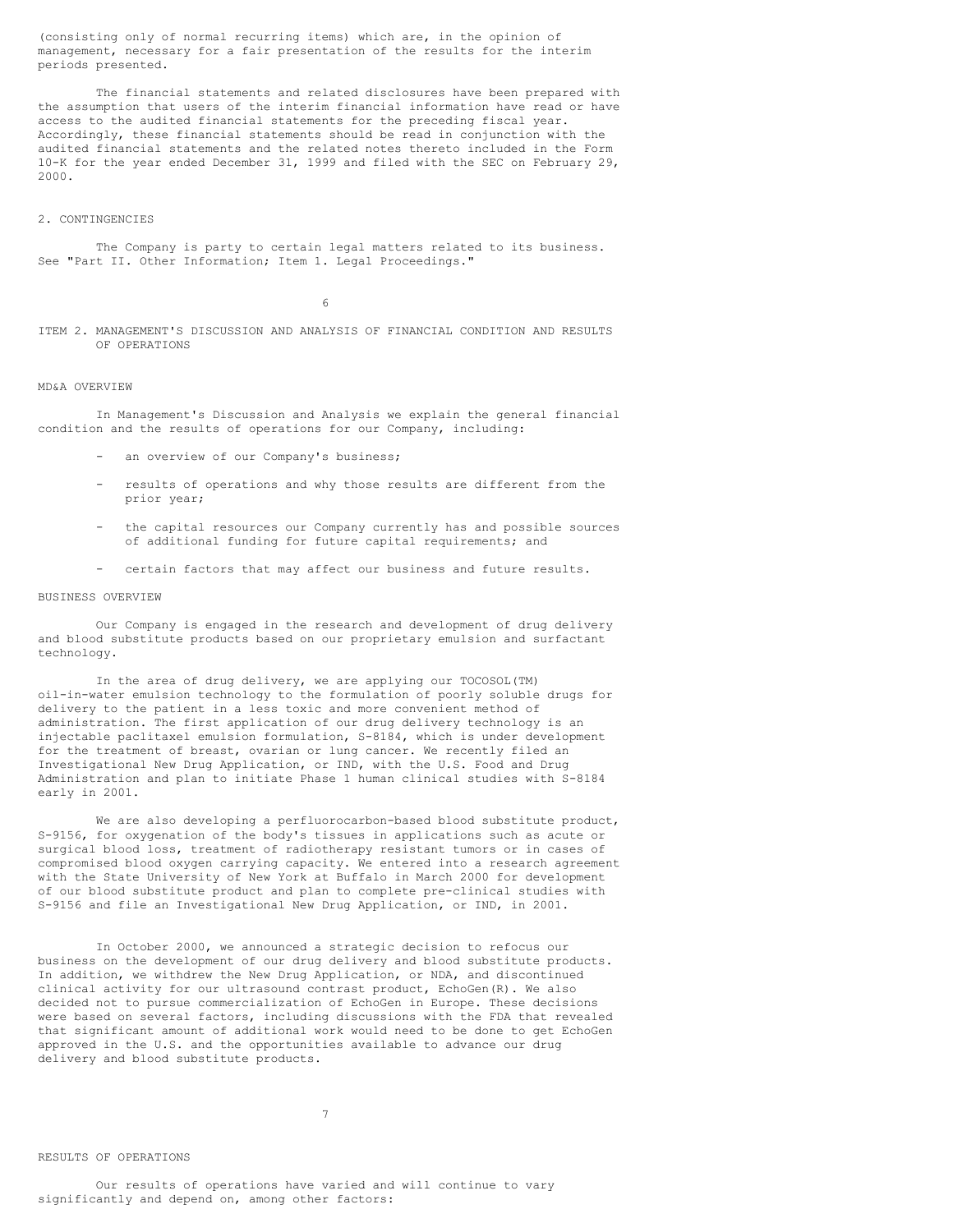(consisting only of normal recurring items) which are, in the opinion of management, necessary for a fair presentation of the results for the interim periods presented.

The financial statements and related disclosures have been prepared with the assumption that users of the interim financial information have read or have access to the audited financial statements for the preceding fiscal year. Accordingly, these financial statements should be read in conjunction with the audited financial statements and the related notes thereto included in the Form 10-K for the year ended December 31, 1999 and filed with the SEC on February 29, 2000.

### 2. CONTINGENCIES

The Company is party to certain legal matters related to its business. See "Part II. Other Information; Item 1. Legal Proceedings."

6

ITEM 2. MANAGEMENT'S DISCUSSION AND ANALYSIS OF FINANCIAL CONDITION AND RESULTS OF OPERATIONS

## MD&A OVERVIEW

In Management's Discussion and Analysis we explain the general financial condition and the results of operations for our Company, including:

- an overview of our Company's business;
- results of operations and why those results are different from the prior year;
- the capital resources our Company currently has and possible sources of additional funding for future capital requirements; and
- certain factors that may affect our business and future results.

## BUSINESS OVERVIEW

Our Company is engaged in the research and development of drug delivery and blood substitute products based on our proprietary emulsion and surfactant technology.

In the area of drug delivery, we are applying our TOCOSOL(TM) oil-in-water emulsion technology to the formulation of poorly soluble drugs for delivery to the patient in a less toxic and more convenient method of administration. The first application of our drug delivery technology is an injectable paclitaxel emulsion formulation, S-8184, which is under development for the treatment of breast, ovarian or lung cancer. We recently filed an Investigational New Drug Application, or IND, with the U.S. Food and Drug Administration and plan to initiate Phase 1 human clinical studies with S-8184 early in 2001.

We are also developing a perfluorocarbon-based blood substitute product, S-9156, for oxygenation of the body's tissues in applications such as acute or surgical blood loss, treatment of radiotherapy resistant tumors or in cases of compromised blood oxygen carrying capacity. We entered into a research agreement with the State University of New York at Buffalo in March 2000 for development of our blood substitute product and plan to complete pre-clinical studies with S-9156 and file an Investigational New Drug Application, or IND, in 2001.

In October 2000, we announced a strategic decision to refocus our business on the development of our drug delivery and blood substitute products. In addition, we withdrew the New Drug Application, or NDA, and discontinued clinical activity for our ultrasound contrast product, EchoGen(R). We also decided not to pursue commercialization of EchoGen in Europe. These decisions were based on several factors, including discussions with the FDA that revealed that significant amount of additional work would need to be done to get EchoGen approved in the U.S. and the opportunities available to advance our drug delivery and blood substitute products.

# RESULTS OF OPERATIONS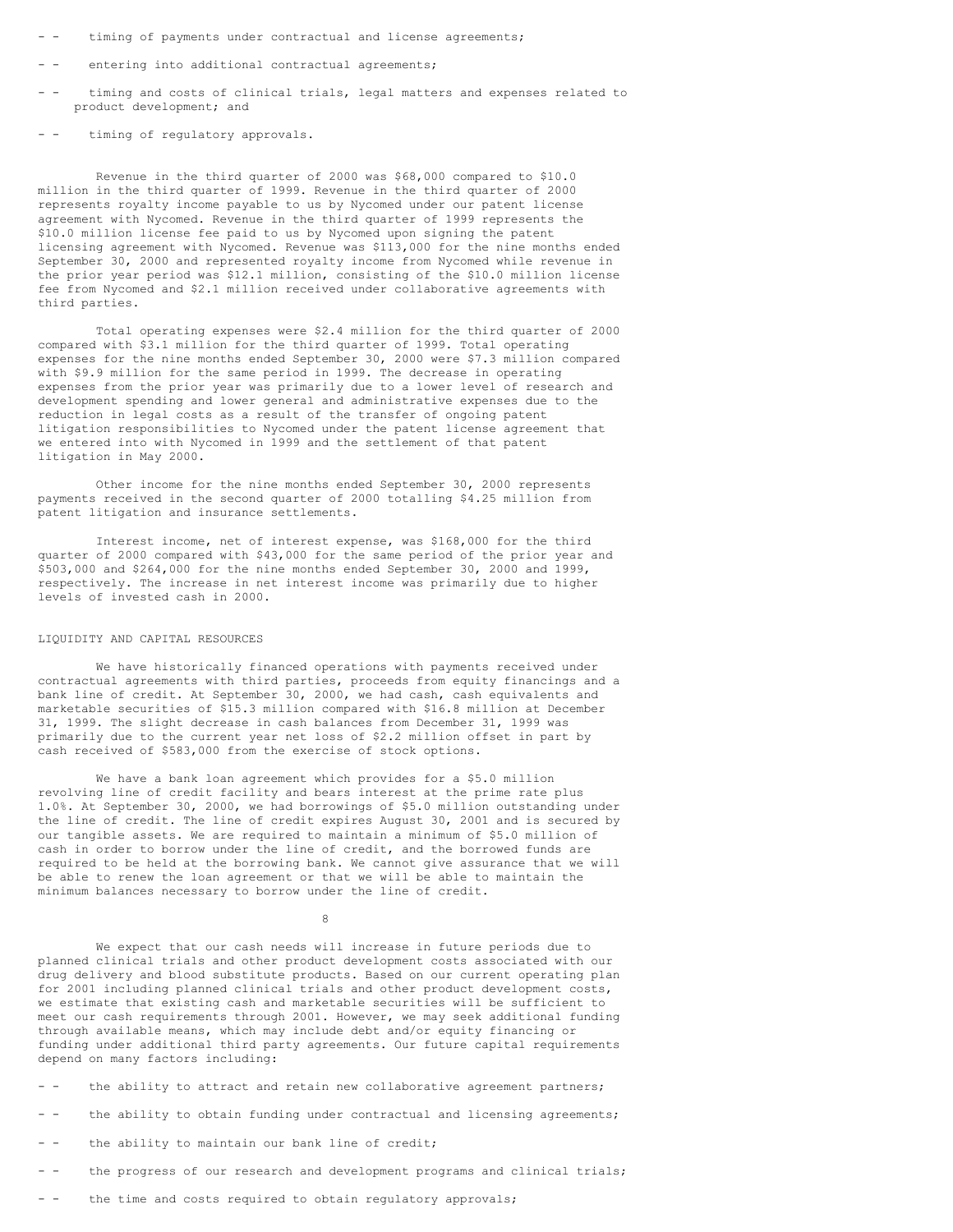- timing of payments under contractual and license agreements;
- - entering into additional contractual agreements;
- - timing and costs of clinical trials, legal matters and expenses related to product development; and
- - timing of regulatory approvals.

Revenue in the third quarter of 2000 was \$68,000 compared to \$10.0 million in the third quarter of 1999. Revenue in the third quarter of 2000 represents royalty income payable to us by Nycomed under our patent license agreement with Nycomed. Revenue in the third quarter of 1999 represents the \$10.0 million license fee paid to us by Nycomed upon signing the patent licensing agreement with Nycomed. Revenue was \$113,000 for the nine months ended September 30, 2000 and represented royalty income from Nycomed while revenue in the prior year period was \$12.1 million, consisting of the \$10.0 million license fee from Nycomed and \$2.1 million received under collaborative agreements with third parties.

Total operating expenses were \$2.4 million for the third quarter of 2000 compared with \$3.1 million for the third quarter of 1999. Total operating expenses for the nine months ended September 30, 2000 were \$7.3 million compared with \$9.9 million for the same period in 1999. The decrease in operating expenses from the prior year was primarily due to a lower level of research and development spending and lower general and administrative expenses due to the reduction in legal costs as a result of the transfer of ongoing patent litigation responsibilities to Nycomed under the patent license agreement that we entered into with Nycomed in 1999 and the settlement of that patent litigation in May 2000.

Other income for the nine months ended September 30, 2000 represents payments received in the second quarter of 2000 totalling \$4.25 million from patent litigation and insurance settlements.

Interest income, net of interest expense, was \$168,000 for the third quarter of 2000 compared with \$43,000 for the same period of the prior year and \$503,000 and \$264,000 for the nine months ended September 30, 2000 and 1999, respectively. The increase in net interest income was primarily due to higher levels of invested cash in 2000.

## LIQUIDITY AND CAPITAL RESOURCES

We have historically financed operations with payments received under contractual agreements with third parties, proceeds from equity financings and a bank line of credit. At September 30, 2000, we had cash, cash equivalents and marketable securities of \$15.3 million compared with \$16.8 million at December 31, 1999. The slight decrease in cash balances from December 31, 1999 was primarily due to the current year net loss of \$2.2 million offset in part by cash received of \$583,000 from the exercise of stock options.

We have a bank loan agreement which provides for a \$5.0 million revolving line of credit facility and bears interest at the prime rate plus 1.0%. At September 30, 2000, we had borrowings of \$5.0 million outstanding under the line of credit. The line of credit expires August 30, 2001 and is secured by our tangible assets. We are required to maintain a minimum of \$5.0 million of cash in order to borrow under the line of credit, and the borrowed funds are required to be held at the borrowing bank. We cannot give assurance that we will be able to renew the loan agreement or that we will be able to maintain the minimum balances necessary to borrow under the line of credit.

8

We expect that our cash needs will increase in future periods due to planned clinical trials and other product development costs associated with our drug delivery and blood substitute products. Based on our current operating plan for 2001 including planned clinical trials and other product development costs, we estimate that existing cash and marketable securities will be sufficient to meet our cash requirements through 2001. However, we may seek additional funding through available means, which may include debt and/or equity financing or funding under additional third party agreements. Our future capital requirements depend on many factors including:

- - the ability to attract and retain new collaborative agreement partners;

- - the ability to obtain funding under contractual and licensing agreements;
- - the ability to maintain our bank line of credit;
- - the progress of our research and development programs and clinical trials;
- - the time and costs required to obtain regulatory approvals;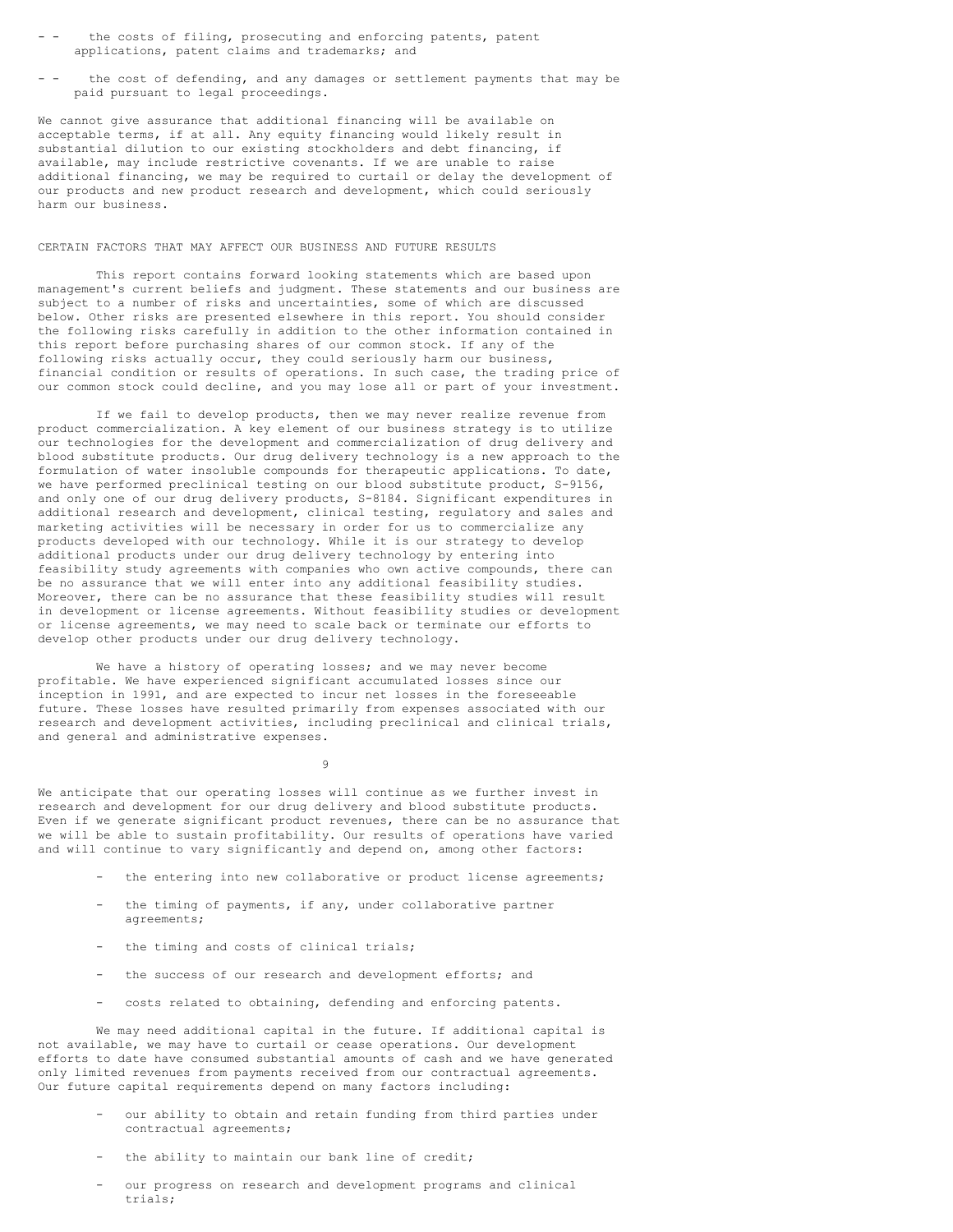- the costs of filing, prosecuting and enforcing patents, patent applications, patent claims and trademarks; and
- the cost of defending, and any damages or settlement payments that may be paid pursuant to legal proceedings.

We cannot give assurance that additional financing will be available on acceptable terms, if at all. Any equity financing would likely result in substantial dilution to our existing stockholders and debt financing, if available, may include restrictive covenants. If we are unable to raise additional financing, we may be required to curtail or delay the development of our products and new product research and development, which could seriously harm our business.

## CERTAIN FACTORS THAT MAY AFFECT OUR BUSINESS AND FUTURE RESULTS

This report contains forward looking statements which are based upon management's current beliefs and judgment. These statements and our business are subject to a number of risks and uncertainties, some of which are discussed below. Other risks are presented elsewhere in this report. You should consider the following risks carefully in addition to the other information contained in this report before purchasing shares of our common stock. If any of the following risks actually occur, they could seriously harm our business, financial condition or results of operations. In such case, the trading price of our common stock could decline, and you may lose all or part of your investment.

If we fail to develop products, then we may never realize revenue from product commercialization. A key element of our business strategy is to utilize our technologies for the development and commercialization of drug delivery and blood substitute products. Our drug delivery technology is a new approach to the formulation of water insoluble compounds for therapeutic applications. To date, we have performed preclinical testing on our blood substitute product, S-9156, and only one of our drug delivery products, S-8184. Significant expenditures in additional research and development, clinical testing, regulatory and sales and marketing activities will be necessary in order for us to commercialize any products developed with our technology. While it is our strategy to develop additional products under our drug delivery technology by entering into feasibility study agreements with companies who own active compounds, there can be no assurance that we will enter into any additional feasibility studies. Moreover, there can be no assurance that these feasibility studies will result in development or license agreements. Without feasibility studies or development or license agreements, we may need to scale back or terminate our efforts to develop other products under our drug delivery technology.

We have a history of operating losses; and we may never become profitable. We have experienced significant accumulated losses since our inception in 1991, and are expected to incur net losses in the foreseeable future. These losses have resulted primarily from expenses associated with our research and development activities, including preclinical and clinical trials, and general and administrative expenses.

9

We anticipate that our operating losses will continue as we further invest in research and development for our drug delivery and blood substitute products. Even if we generate significant product revenues, there can be no assurance that we will be able to sustain profitability. Our results of operations have varied and will continue to vary significantly and depend on, among other factors:

- the entering into new collaborative or product license agreements;
- the timing of payments, if any, under collaborative partner agreements;
- the timing and costs of clinical trials;
- the success of our research and development efforts; and
- costs related to obtaining, defending and enforcing patents.

We may need additional capital in the future. If additional capital is not available, we may have to curtail or cease operations. Our development efforts to date have consumed substantial amounts of cash and we have generated only limited revenues from payments received from our contractual agreements. Our future capital requirements depend on many factors including:

- our ability to obtain and retain funding from third parties under contractual agreements;
- the ability to maintain our bank line of credit;
- our progress on research and development programs and clinical trials;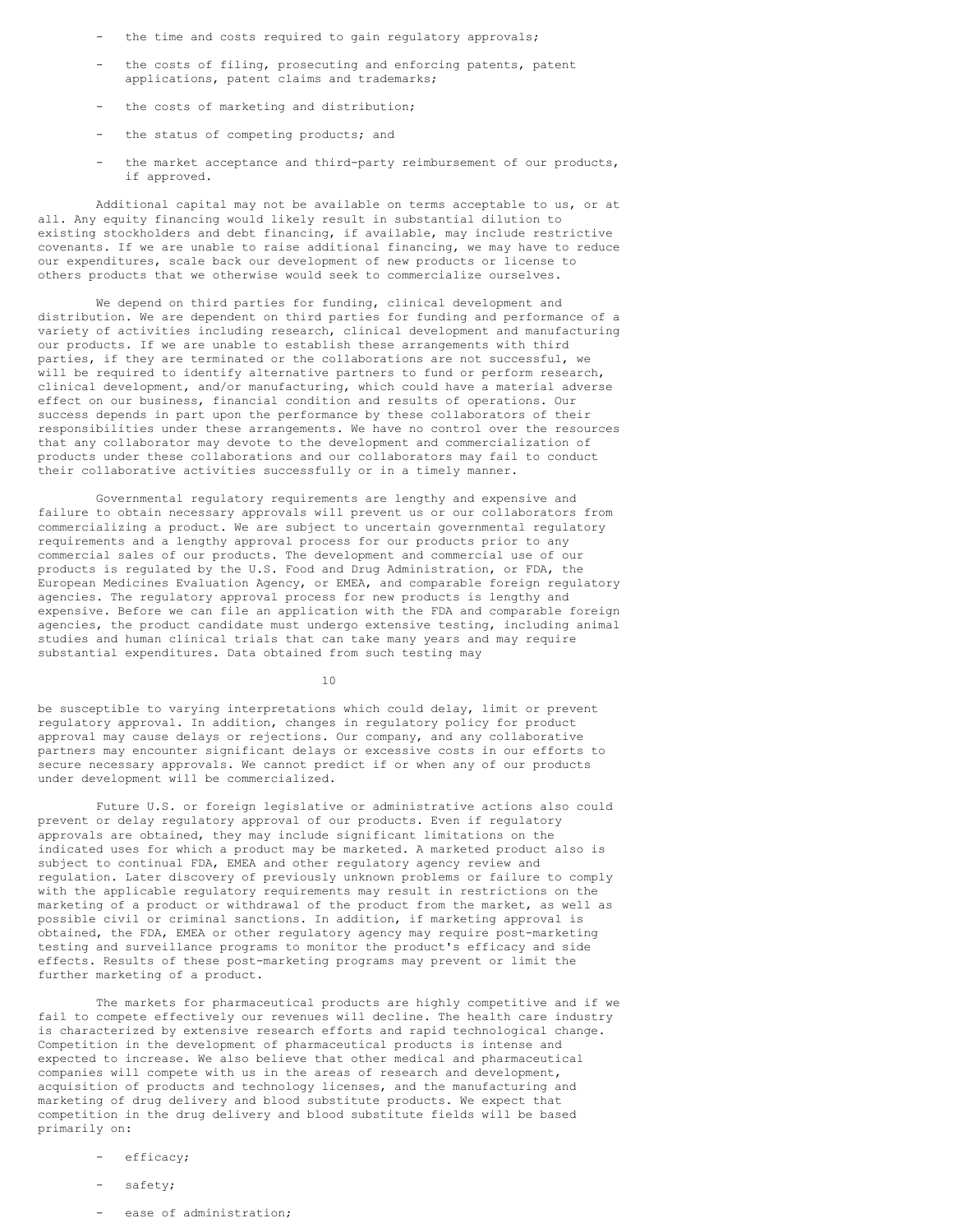- the time and costs required to gain regulatory approvals;
- the costs of filing, prosecuting and enforcing patents, patent applications, patent claims and trademarks;
- the costs of marketing and distribution;
- the status of competing products; and
- the market acceptance and third-party reimbursement of our products, if approved.

Additional capital may not be available on terms acceptable to us, or at all. Any equity financing would likely result in substantial dilution to existing stockholders and debt financing, if available, may include restrictive covenants. If we are unable to raise additional financing, we may have to reduce our expenditures, scale back our development of new products or license to others products that we otherwise would seek to commercialize ourselves.

We depend on third parties for funding, clinical development and distribution. We are dependent on third parties for funding and performance of a variety of activities including research, clinical development and manufacturing our products. If we are unable to establish these arrangements with third parties, if they are terminated or the collaborations are not successful, we will be required to identify alternative partners to fund or perform research, clinical development, and/or manufacturing, which could have a material adverse effect on our business, financial condition and results of operations. Our success depends in part upon the performance by these collaborators of their responsibilities under these arrangements. We have no control over the resources that any collaborator may devote to the development and commercialization of products under these collaborations and our collaborators may fail to conduct their collaborative activities successfully or in a timely manner.

Governmental regulatory requirements are lengthy and expensive and failure to obtain necessary approvals will prevent us or our collaborators from commercializing a product. We are subject to uncertain governmental regulatory requirements and a lengthy approval process for our products prior to any commercial sales of our products. The development and commercial use of our products is regulated by the U.S. Food and Drug Administration, or FDA, the European Medicines Evaluation Agency, or EMEA, and comparable foreign regulatory agencies. The regulatory approval process for new products is lengthy and expensive. Before we can file an application with the FDA and comparable foreign agencies, the product candidate must undergo extensive testing, including animal studies and human clinical trials that can take many years and may require substantial expenditures. Data obtained from such testing may

10

be susceptible to varying interpretations which could delay, limit or prevent regulatory approval. In addition, changes in regulatory policy for product approval may cause delays or rejections. Our company, and any collaborative partners may encounter significant delays or excessive costs in our efforts to secure necessary approvals. We cannot predict if or when any of our products under development will be commercialized.

Future U.S. or foreign legislative or administrative actions also could prevent or delay regulatory approval of our products. Even if regulatory approvals are obtained, they may include significant limitations on the indicated uses for which a product may be marketed. A marketed product also is subject to continual FDA, EMEA and other regulatory agency review and regulation. Later discovery of previously unknown problems or failure to comply with the applicable regulatory requirements may result in restrictions on the marketing of a product or withdrawal of the product from the market, as well as possible civil or criminal sanctions. In addition, if marketing approval is obtained, the FDA, EMEA or other regulatory agency may require post-marketing testing and surveillance programs to monitor the product's efficacy and side effects. Results of these post-marketing programs may prevent or limit the further marketing of a product.

The markets for pharmaceutical products are highly competitive and if we fail to compete effectively our revenues will decline. The health care industry is characterized by extensive research efforts and rapid technological change. Competition in the development of pharmaceutical products is intense and expected to increase. We also believe that other medical and pharmaceutical companies will compete with us in the areas of research and development, acquisition of products and technology licenses, and the manufacturing and marketing of drug delivery and blood substitute products. We expect that competition in the drug delivery and blood substitute fields will be based primarily on:

- efficacy;
- safety;
- ease of administration: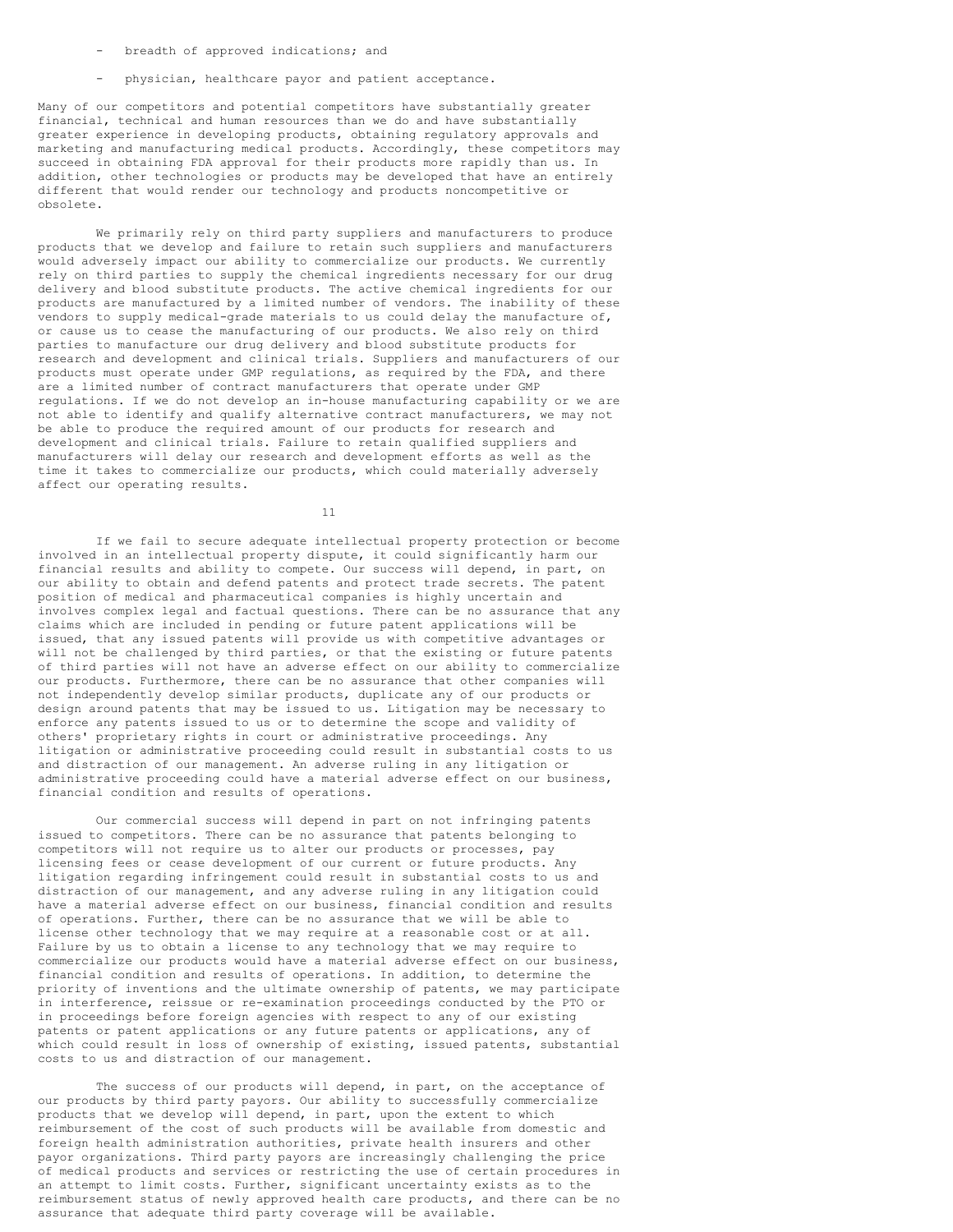- breadth of approved indications; and
- physician, healthcare payor and patient acceptance.

Many of our competitors and potential competitors have substantially greater financial, technical and human resources than we do and have substantially greater experience in developing products, obtaining regulatory approvals and marketing and manufacturing medical products. Accordingly, these competitors may succeed in obtaining FDA approval for their products more rapidly than us. In addition, other technologies or products may be developed that have an entirely different that would render our technology and products noncompetitive or obsolete.

We primarily rely on third party suppliers and manufacturers to produce products that we develop and failure to retain such suppliers and manufacturers would adversely impact our ability to commercialize our products. We currently rely on third parties to supply the chemical ingredients necessary for our drug delivery and blood substitute products. The active chemical ingredients for our products are manufactured by a limited number of vendors. The inability of these vendors to supply medical-grade materials to us could delay the manufacture of, or cause us to cease the manufacturing of our products. We also rely on third parties to manufacture our drug delivery and blood substitute products for research and development and clinical trials. Suppliers and manufacturers of our products must operate under GMP regulations, as required by the FDA, and there are a limited number of contract manufacturers that operate under GMP regulations. If we do not develop an in-house manufacturing capability or we are not able to identify and qualify alternative contract manufacturers, we may not be able to produce the required amount of our products for research and development and clinical trials. Failure to retain qualified suppliers and manufacturers will delay our research and development efforts as well as the time it takes to commercialize our products, which could materially adversely affect our operating results.

11

If we fail to secure adequate intellectual property protection or become involved in an intellectual property dispute, it could significantly harm our financial results and ability to compete. Our success will depend, in part, on our ability to obtain and defend patents and protect trade secrets. The patent position of medical and pharmaceutical companies is highly uncertain and involves complex legal and factual questions. There can be no assurance that any claims which are included in pending or future patent applications will be issued, that any issued patents will provide us with competitive advantages or will not be challenged by third parties, or that the existing or future patents of third parties will not have an adverse effect on our ability to commercialize our products. Furthermore, there can be no assurance that other companies will not independently develop similar products, duplicate any of our products or design around patents that may be issued to us. Litigation may be necessary to enforce any patents issued to us or to determine the scope and validity of others' proprietary rights in court or administrative proceedings. Any litigation or administrative proceeding could result in substantial costs to us and distraction of our management. An adverse ruling in any litigation or administrative proceeding could have a material adverse effect on our business, financial condition and results of operations.

Our commercial success will depend in part on not infringing patents issued to competitors. There can be no assurance that patents belonging to competitors will not require us to alter our products or processes, pay licensing fees or cease development of our current or future products. Any litigation regarding infringement could result in substantial costs to us and distraction of our management, and any adverse ruling in any litigation could have a material adverse effect on our business, financial condition and results of operations. Further, there can be no assurance that we will be able to license other technology that we may require at a reasonable cost or at all. Failure by us to obtain a license to any technology that we may require to commercialize our products would have a material adverse effect on our business, financial condition and results of operations. In addition, to determine the priority of inventions and the ultimate ownership of patents, we may participate in interference, reissue or re-examination proceedings conducted by the PTO or in proceedings before foreign agencies with respect to any of our existing patents or patent applications or any future patents or applications, any of which could result in loss of ownership of existing, issued patents, substantial costs to us and distraction of our management.

The success of our products will depend, in part, on the acceptance of our products by third party payors. Our ability to successfully commercialize products that we develop will depend, in part, upon the extent to which reimbursement of the cost of such products will be available from domestic and foreign health administration authorities, private health insurers and other payor organizations. Third party payors are increasingly challenging the price of medical products and services or restricting the use of certain procedures in an attempt to limit costs. Further, significant uncertainty exists as to the reimbursement status of newly approved health care products, and there can be no assurance that adequate third party coverage will be available.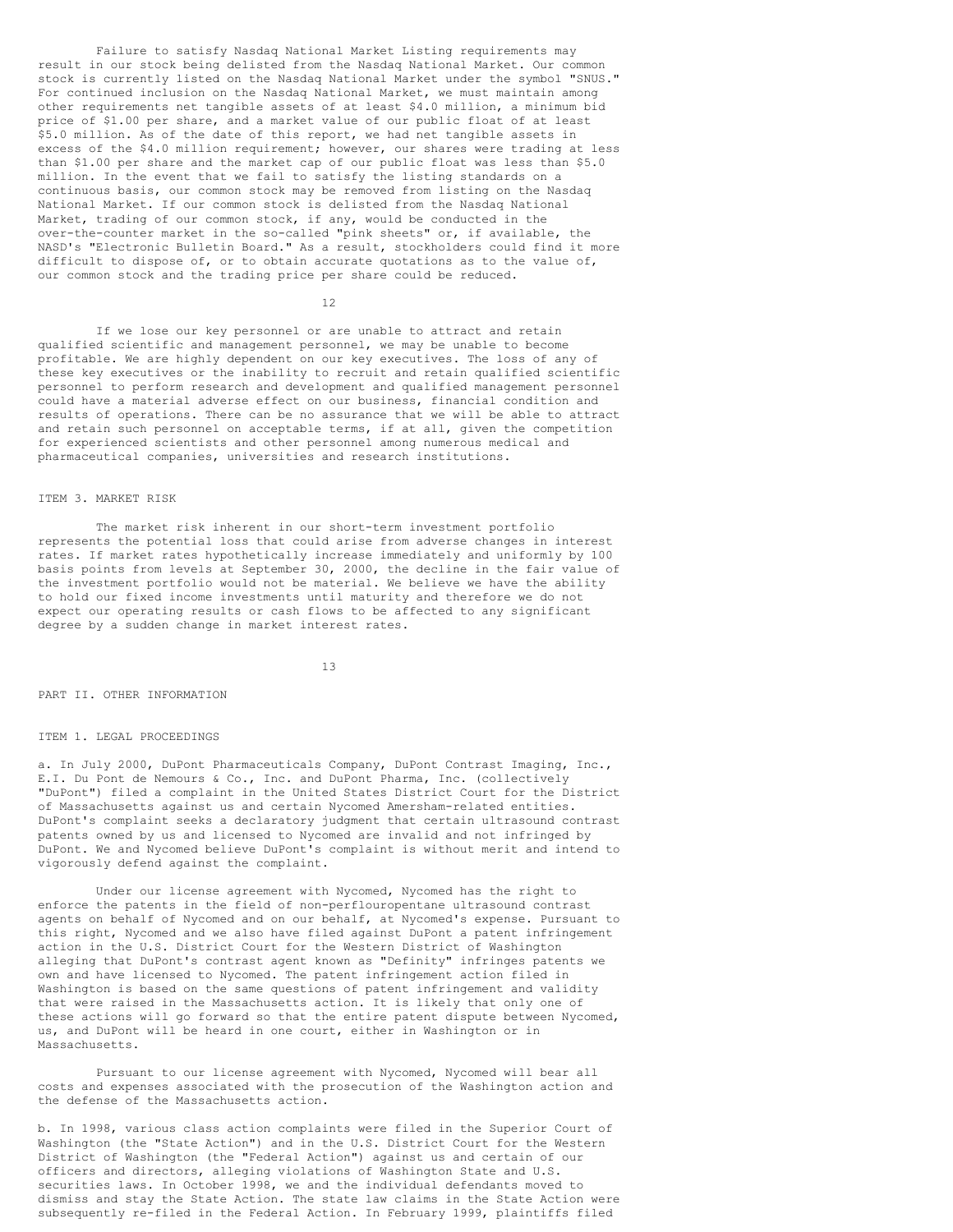Failure to satisfy Nasdaq National Market Listing requirements may result in our stock being delisted from the Nasdaq National Market. Our common stock is currently listed on the Nasdaq National Market under the symbol "SNUS." For continued inclusion on the Nasdaq National Market, we must maintain among other requirements net tangible assets of at least \$4.0 million, a minimum bid price of \$1.00 per share, and a market value of our public float of at least \$5.0 million. As of the date of this report, we had net tangible assets in excess of the \$4.0 million requirement; however, our shares were trading at less than \$1.00 per share and the market cap of our public float was less than \$5.0 million. In the event that we fail to satisfy the listing standards on a continuous basis, our common stock may be removed from listing on the Nasdaq National Market. If our common stock is delisted from the Nasdaq National Market, trading of our common stock, if any, would be conducted in the over-the-counter market in the so-called "pink sheets" or, if available, the NASD's "Electronic Bulletin Board." As a result, stockholders could find it more difficult to dispose of, or to obtain accurate quotations as to the value of, our common stock and the trading price per share could be reduced.

12

If we lose our key personnel or are unable to attract and retain qualified scientific and management personnel, we may be unable to become profitable. We are highly dependent on our key executives. The loss of any of these key executives or the inability to recruit and retain qualified scientific personnel to perform research and development and qualified management personnel could have a material adverse effect on our business, financial condition and results of operations. There can be no assurance that we will be able to attract and retain such personnel on acceptable terms, if at all, given the competition for experienced scientists and other personnel among numerous medical and pharmaceutical companies, universities and research institutions.

### ITEM 3. MARKET RISK

The market risk inherent in our short-term investment portfolio represents the potential loss that could arise from adverse changes in interest rates. If market rates hypothetically increase immediately and uniformly by 100 basis points from levels at September 30, 2000, the decline in the fair value of the investment portfolio would not be material. We believe we have the ability to hold our fixed income investments until maturity and therefore we do not expect our operating results or cash flows to be affected to any significant degree by a sudden change in market interest rates.

13

PART II. OTHER INFORMATION

## ITEM 1. LEGAL PROCEEDINGS

a. In July 2000, DuPont Pharmaceuticals Company, DuPont Contrast Imaging, Inc., E.I. Du Pont de Nemours & Co., Inc. and DuPont Pharma, Inc. (collectively "DuPont") filed a complaint in the United States District Court for the District of Massachusetts against us and certain Nycomed Amersham-related entities. DuPont's complaint seeks a declaratory judgment that certain ultrasound contrast patents owned by us and licensed to Nycomed are invalid and not infringed by DuPont. We and Nycomed believe DuPont's complaint is without merit and intend to vigorously defend against the complaint.

Under our license agreement with Nycomed, Nycomed has the right to enforce the patents in the field of non-perflouropentane ultrasound contrast agents on behalf of Nycomed and on our behalf, at Nycomed's expense. Pursuant to this right, Nycomed and we also have filed against DuPont a patent infringement action in the U.S. District Court for the Western District of Washington alleging that DuPont's contrast agent known as "Definity" infringes patents we own and have licensed to Nycomed. The patent infringement action filed in Washington is based on the same questions of patent infringement and validity that were raised in the Massachusetts action. It is likely that only one of these actions will go forward so that the entire patent dispute between Nycomed, us, and DuPont will be heard in one court, either in Washington or in Massachusetts.

Pursuant to our license agreement with Nycomed, Nycomed will bear all costs and expenses associated with the prosecution of the Washington action and the defense of the Massachusetts action.

b. In 1998, various class action complaints were filed in the Superior Court of Washington (the "State Action") and in the U.S. District Court for the Western District of Washington (the "Federal Action") against us and certain of our officers and directors, alleging violations of Washington State and U.S. securities laws. In October 1998, we and the individual defendants moved to dismiss and stay the State Action. The state law claims in the State Action were subsequently re-filed in the Federal Action. In February 1999, plaintiffs filed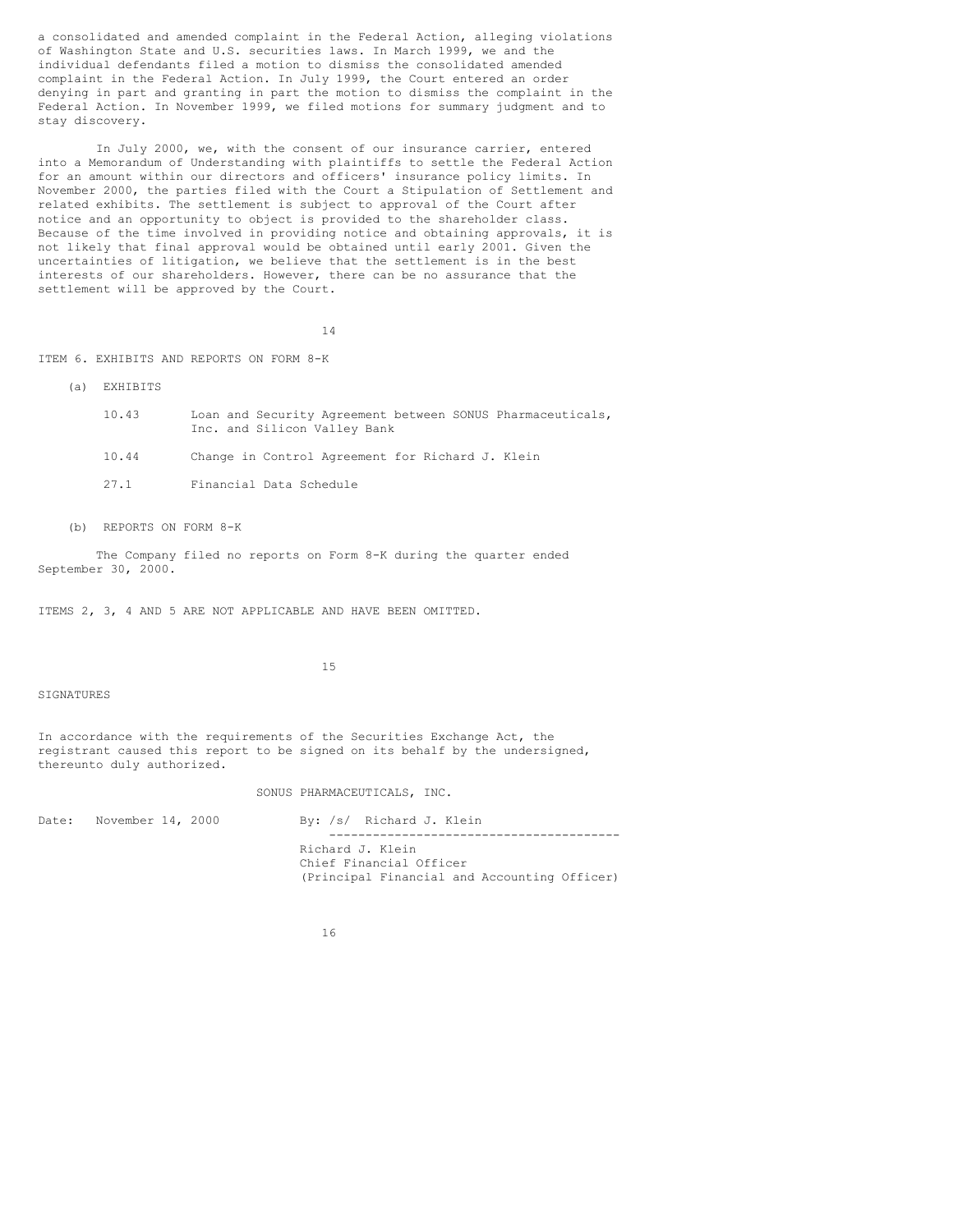a consolidated and amended complaint in the Federal Action, alleging violations of Washington State and U.S. securities laws. In March 1999, we and the individual defendants filed a motion to dismiss the consolidated amended complaint in the Federal Action. In July 1999, the Court entered an order denying in part and granting in part the motion to dismiss the complaint in the Federal Action. In November 1999, we filed motions for summary judgment and to stay discovery.

In July 2000, we, with the consent of our insurance carrier, entered into a Memorandum of Understanding with plaintiffs to settle the Federal Action for an amount within our directors and officers' insurance policy limits. In November 2000, the parties filed with the Court a Stipulation of Settlement and related exhibits. The settlement is subject to approval of the Court after notice and an opportunity to object is provided to the shareholder class. Because of the time involved in providing notice and obtaining approvals, it is not likely that final approval would be obtained until early 2001. Given the uncertainties of litigation, we believe that the settlement is in the best interests of our shareholders. However, there can be no assurance that the settlement will be approved by the Court.

14

ITEM 6. EXHIBITS AND REPORTS ON FORM 8-K

- (a) EXHIBITS
	- 10.43 Loan and Security Agreement between SONUS Pharmaceuticals, Inc. and Silicon Valley Bank
	- 10.44 Change in Control Agreement for Richard J. Klein
	- 27.1 Financial Data Schedule
- (b) REPORTS ON FORM 8-K

The Company filed no reports on Form 8-K during the quarter ended September 30, 2000.

ITEMS 2, 3, 4 AND 5 ARE NOT APPLICABLE AND HAVE BEEN OMITTED.

15

SIGNATURES

In accordance with the requirements of the Securities Exchange Act, the registrant caused this report to be signed on its behalf by the undersigned, thereunto duly authorized.

### SONUS PHARMACEUTICALS, INC.

Date: November 14, 2000 By: /s/ Richard J. Klein ---------------------------------------- Richard J. Klein Chief Financial Officer (Principal Financial and Accounting Officer)

16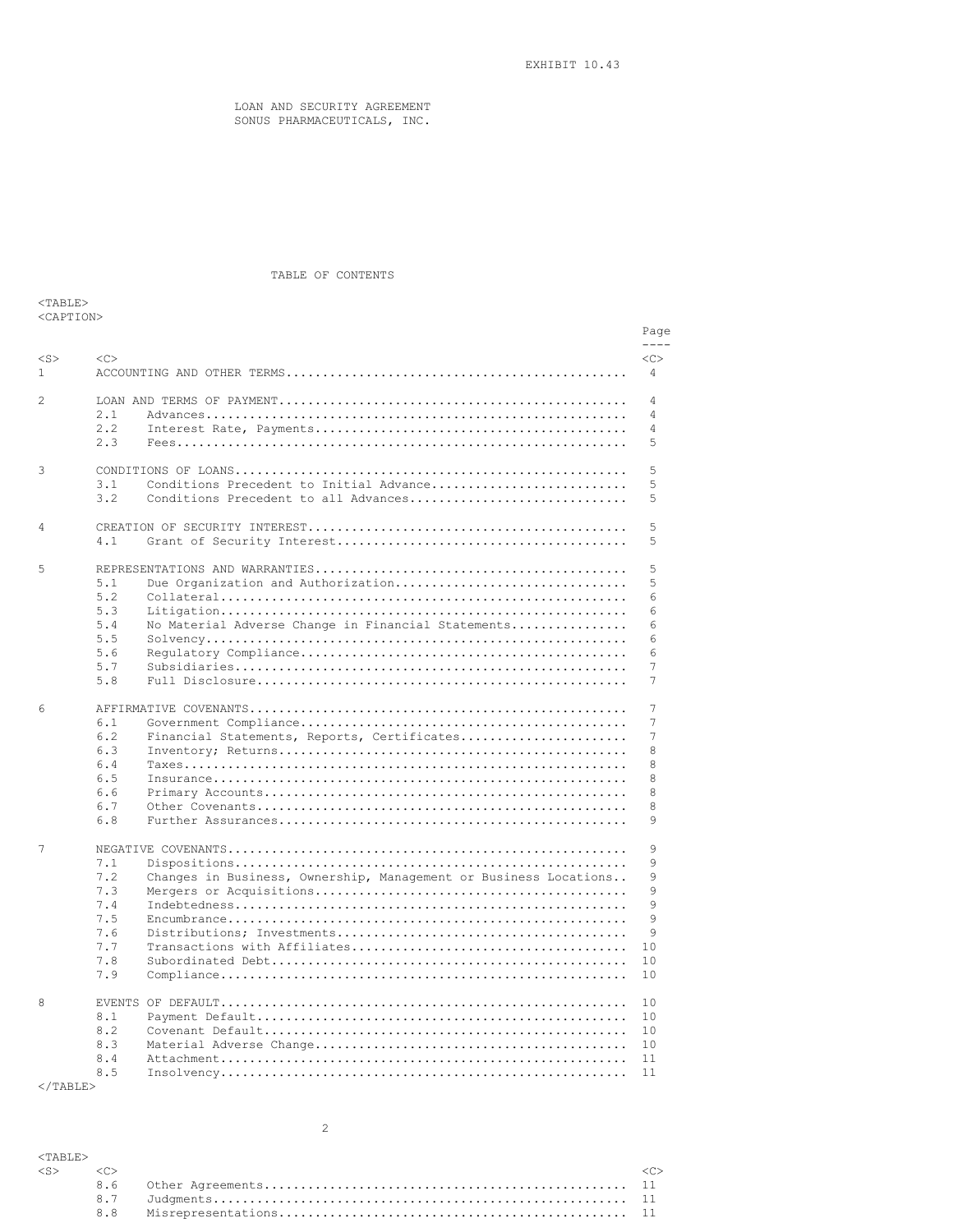EXHIBIT 10.43

LOAN AND SECURITY AGREEMENT SONUS PHARMACEUTICALS, INC.

# TABLE OF CONTENTS

| 'ART        |
|-------------|
| CA P'I' LON |

|               |        |                                                                  | Page           |
|---------------|--------|------------------------------------------------------------------|----------------|
|               |        |                                                                  | $- - - -$      |
| $<$ S>        | $<$ C> |                                                                  | <<             |
| $\mathbf{1}$  |        |                                                                  | 4              |
| $\mathcal{L}$ |        |                                                                  | 4              |
|               | 2.1    |                                                                  | $\overline{4}$ |
|               | 2.2    |                                                                  | 4              |
|               | 2.3    |                                                                  | 5              |
|               |        |                                                                  |                |
| 3             |        |                                                                  | 5              |
|               | 3.1    | Conditions Precedent to Initial Advance                          | 5              |
|               | 3.2    | Conditions Precedent to all Advances                             | 5              |
| 4             |        |                                                                  | 5              |
|               | 4.1    |                                                                  | 5              |
|               |        |                                                                  |                |
| 5             |        |                                                                  | 5              |
|               | 5.1    | Due Organization and Authorization                               | 5              |
|               | 5.2    |                                                                  | 6              |
|               | 5.3    |                                                                  | 6              |
|               | 5.4    | No Material Adverse Change in Financial Statements               | 6              |
|               | 5.5    |                                                                  | 6              |
|               | 5.6    |                                                                  | 6              |
|               | 5.7    |                                                                  | 7              |
|               | 5.8    |                                                                  | 7              |
|               |        |                                                                  |                |
| 6             |        |                                                                  | 7              |
|               | 6.1    |                                                                  | 7              |
|               | 6.2    | Financial Statements, Reports, Certificates                      | 7              |
|               | 6.3    |                                                                  | 8              |
|               | 6.4    |                                                                  | 8              |
|               | 6.5    |                                                                  | 8              |
|               | 6.6    |                                                                  | 8              |
|               | 6.7    |                                                                  | 8              |
|               | 6.8    |                                                                  | 9              |
|               |        |                                                                  |                |
| 7             |        |                                                                  | 9              |
|               | 7.1    |                                                                  | 9              |
|               | 7.2    | Changes in Business, Ownership, Management or Business Locations | 9              |
|               | 7.3    |                                                                  | 9              |
|               | 7.4    |                                                                  | 9              |
|               | 7.5    |                                                                  | 9              |
|               | 7.6    |                                                                  | 9              |
|               | 7.7    |                                                                  | 10             |
|               | 7.8    |                                                                  | 10             |
|               | 7.9    |                                                                  | 10             |
| 8             |        |                                                                  | 10             |
|               | 8.1    |                                                                  | 10             |
|               | 8.2    |                                                                  | 10             |
|               | 8.3    |                                                                  | 10             |
|               | 8.4    |                                                                  | 11             |
|               | 8.5    |                                                                  | 11             |

 $\rm <$  /TABLE>

| $<$ TARLE $>$             |  |  |
|---------------------------|--|--|
| $\langle$ S> $\langle$ C> |  |  |
|                           |  |  |
|                           |  |  |
|                           |  |  |

2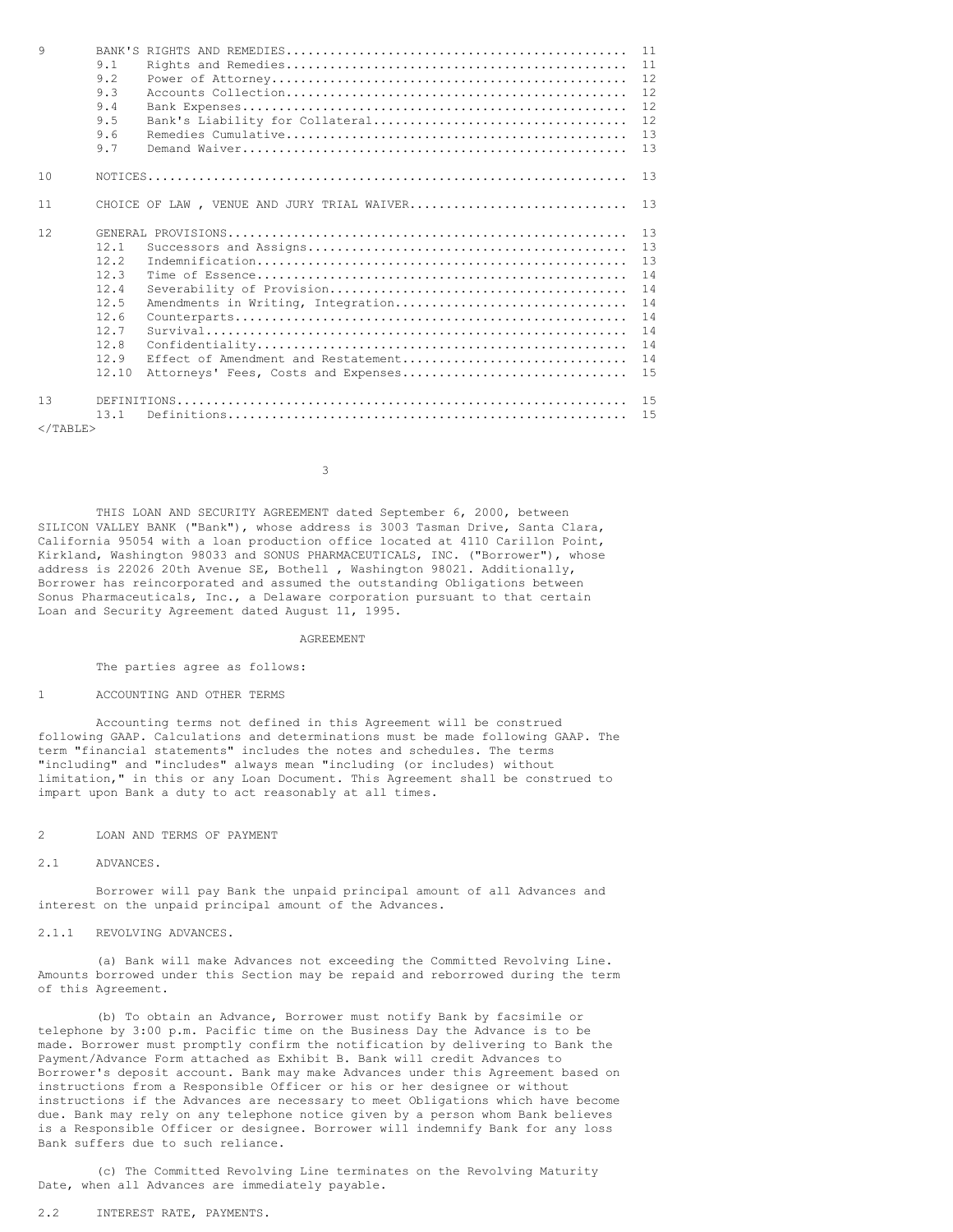| 9           |       |                                            | 11 |
|-------------|-------|--------------------------------------------|----|
|             | 9.1   |                                            | 11 |
|             | 9.2   |                                            | 12 |
|             | 9.3   |                                            | 12 |
|             | 9.4   |                                            | 12 |
|             | 9.5   |                                            | 12 |
|             | 9.6   |                                            | 13 |
|             | 9.7   |                                            | 13 |
| 10          |       |                                            | 13 |
|             |       |                                            |    |
| 11          |       | CHOICE OF LAW, VENUE AND JURY TRIAL WAIVER | 13 |
| 12          |       |                                            | 13 |
|             | 12.1  |                                            | 13 |
|             | 12.2  |                                            | 13 |
|             | 12.3  |                                            | 14 |
|             | 12.4  |                                            | 14 |
|             | 12.5  | Amendments in Writing, Integration         | 14 |
|             | 12.6  |                                            | 14 |
|             | 12.7  |                                            | 14 |
|             | 12.8  |                                            | 14 |
|             | 12.9  | Effect of Amendment and Restatement        | 14 |
|             | 12.10 | Attorneys' Fees, Costs and Expenses        | 15 |
| 13          |       |                                            | 15 |
|             | 13.1  |                                            | 15 |
| $<$ /TABLE> |       |                                            |    |

3

THIS LOAN AND SECURITY AGREEMENT dated September 6, 2000, between SILICON VALLEY BANK ("Bank"), whose address is 3003 Tasman Drive, Santa Clara, California 95054 with a loan production office located at 4110 Carillon Point, Kirkland, Washington 98033 and SONUS PHARMACEUTICALS, INC. ("Borrower"), whose address is 22026 20th Avenue SE, Bothell , Washington 98021. Additionally, Borrower has reincorporated and assumed the outstanding Obligations between Sonus Pharmaceuticals, Inc., a Delaware corporation pursuant to that certain Loan and Security Agreement dated August 11, 1995.

#### AGREEMENT

The parties agree as follows:

## 1 ACCOUNTING AND OTHER TERMS

Accounting terms not defined in this Agreement will be construed following GAAP. Calculations and determinations must be made following GAAP. The term "financial statements" includes the notes and schedules. The terms "including" and "includes" always mean "including (or includes) without limitation," in this or any Loan Document. This Agreement shall be construed to impart upon Bank a duty to act reasonably at all times.

## 2 LOAN AND TERMS OF PAYMENT

2.1 ADVANCES.

Borrower will pay Bank the unpaid principal amount of all Advances and interest on the unpaid principal amount of the Advances.

# 2.1.1 REVOLVING ADVANCES.

(a) Bank will make Advances not exceeding the Committed Revolving Line. Amounts borrowed under this Section may be repaid and reborrowed during the term of this Agreement.

(b) To obtain an Advance, Borrower must notify Bank by facsimile or telephone by 3:00 p.m. Pacific time on the Business Day the Advance is to be made. Borrower must promptly confirm the notification by delivering to Bank the Payment/Advance Form attached as Exhibit B. Bank will credit Advances to Borrower's deposit account. Bank may make Advances under this Agreement based on instructions from a Responsible Officer or his or her designee or without instructions if the Advances are necessary to meet Obligations which have become due. Bank may rely on any telephone notice given by a person whom Bank believes is a Responsible Officer or designee. Borrower will indemnify Bank for any loss Bank suffers due to such reliance.

(c) The Committed Revolving Line terminates on the Revolving Maturity Date, when all Advances are immediately payable.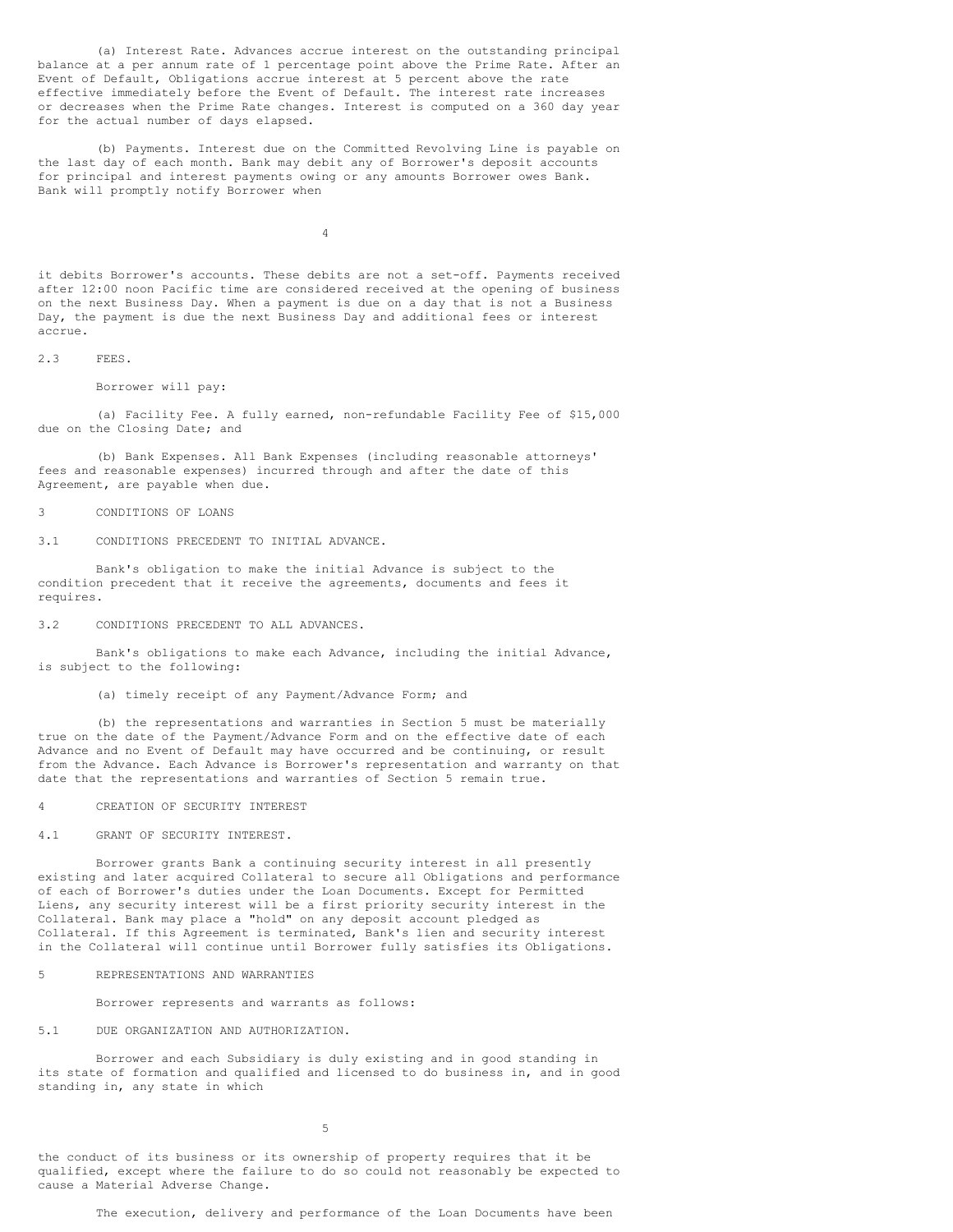(a) Interest Rate. Advances accrue interest on the outstanding principal balance at a per annum rate of 1 percentage point above the Prime Rate. After an Event of Default, Obligations accrue interest at 5 percent above the rate effective immediately before the Event of Default. The interest rate increases or decreases when the Prime Rate changes. Interest is computed on a 360 day year for the actual number of days elapsed.

(b) Payments. Interest due on the Committed Revolving Line is payable on the last day of each month. Bank may debit any of Borrower's deposit accounts for principal and interest payments owing or any amounts Borrower owes Bank. Bank will promptly notify Borrower when

 $\Delta$ 

it debits Borrower's accounts. These debits are not a set-off. Payments received after 12:00 noon Pacific time are considered received at the opening of business on the next Business Day. When a payment is due on a day that is not a Business Day, the payment is due the next Business Day and additional fees or interest accrue.

2.3 FEES.

Borrower will pay:

(a) Facility Fee. A fully earned, non-refundable Facility Fee of \$15,000 due on the Closing Date; and

(b) Bank Expenses. All Bank Expenses (including reasonable attorneys' fees and reasonable expenses) incurred through and after the date of this Agreement, are payable when due.

3 CONDITIONS OF LOANS

3.1 CONDITIONS PRECEDENT TO INITIAL ADVANCE.

Bank's obligation to make the initial Advance is subject to the condition precedent that it receive the agreements, documents and fees it requires.

3.2 CONDITIONS PRECEDENT TO ALL ADVANCES.

Bank's obligations to make each Advance, including the initial Advance, is subject to the following:

(a) timely receipt of any Payment/Advance Form; and

(b) the representations and warranties in Section 5 must be materially true on the date of the Payment/Advance Form and on the effective date of each Advance and no Event of Default may have occurred and be continuing, or result from the Advance. Each Advance is Borrower's representation and warranty on that date that the representations and warranties of Section 5 remain true.

4 CREATION OF SECURITY INTEREST

4.1 GRANT OF SECURITY INTEREST.

Borrower grants Bank a continuing security interest in all presently existing and later acquired Collateral to secure all Obligations and performance of each of Borrower's duties under the Loan Documents. Except for Permitted Liens, any security interest will be a first priority security interest in the Collateral. Bank may place a "hold" on any deposit account pledged as Collateral. If this Agreement is terminated, Bank's lien and security interest in the Collateral will continue until Borrower fully satisfies its Obligations.

5 REPRESENTATIONS AND WARRANTIES

Borrower represents and warrants as follows:

### 5.1 DUE ORGANIZATION AND AUTHORIZATION.

Borrower and each Subsidiary is duly existing and in good standing in its state of formation and qualified and licensed to do business in, and in good standing in, any state in which

5

the conduct of its business or its ownership of property requires that it be qualified, except where the failure to do so could not reasonably be expected to cause a Material Adverse Change.

The execution, delivery and performance of the Loan Documents have been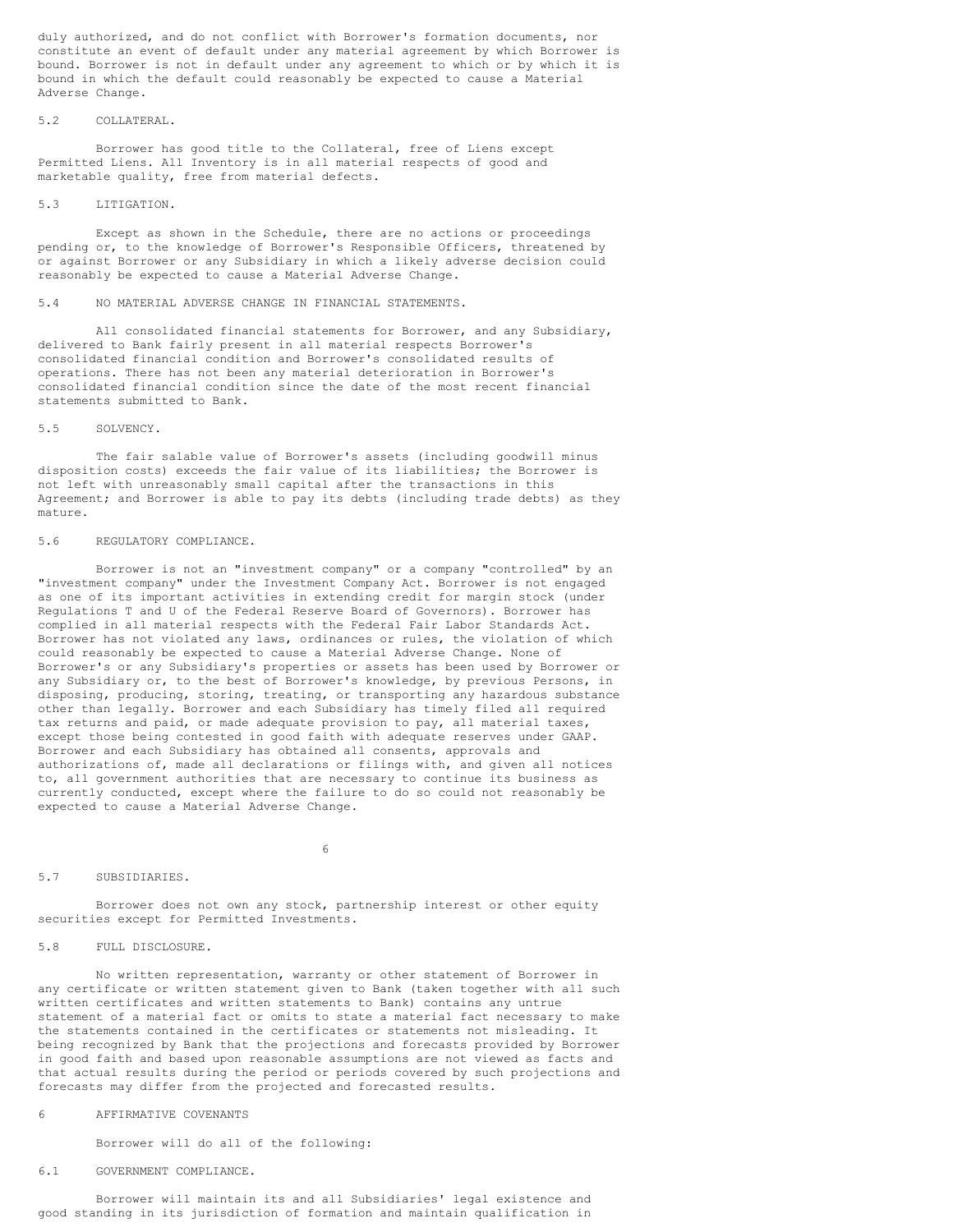duly authorized, and do not conflict with Borrower's formation documents, nor constitute an event of default under any material agreement by which Borrower is bound. Borrower is not in default under any agreement to which or by which it is bound in which the default could reasonably be expected to cause a Material Adverse Change.

## 5.2 COLLATERAL.

Borrower has good title to the Collateral, free of Liens except Permitted Liens. All Inventory is in all material respects of good and marketable quality, free from material defects.

## 5.3 LITIGATION.

Except as shown in the Schedule, there are no actions or proceedings pending or, to the knowledge of Borrower's Responsible Officers, threatened by or against Borrower or any Subsidiary in which a likely adverse decision could reasonably be expected to cause a Material Adverse Change.

#### 5.4 NO MATERIAL ADVERSE CHANGE IN FINANCIAL STATEMENTS.

All consolidated financial statements for Borrower, and any Subsidiary, delivered to Bank fairly present in all material respects Borrower's consolidated financial condition and Borrower's consolidated results of operations. There has not been any material deterioration in Borrower's consolidated financial condition since the date of the most recent financial statements submitted to Bank.

## 5.5 SOLVENCY.

The fair salable value of Borrower's assets (including goodwill minus disposition costs) exceeds the fair value of its liabilities; the Borrower is not left with unreasonably small capital after the transactions in this Agreement; and Borrower is able to pay its debts (including trade debts) as they mature.

### 5.6 REGULATORY COMPLIANCE.

Borrower is not an "investment company" or a company "controlled" by an "investment company" under the Investment Company Act. Borrower is not engaged as one of its important activities in extending credit for margin stock (under Regulations T and U of the Federal Reserve Board of Governors). Borrower has complied in all material respects with the Federal Fair Labor Standards Act. Borrower has not violated any laws, ordinances or rules, the violation of which could reasonably be expected to cause a Material Adverse Change. None of Borrower's or any Subsidiary's properties or assets has been used by Borrower or any Subsidiary or, to the best of Borrower's knowledge, by previous Persons, in disposing, producing, storing, treating, or transporting any hazardous substance other than legally. Borrower and each Subsidiary has timely filed all required tax returns and paid, or made adequate provision to pay, all material taxes, except those being contested in good faith with adequate reserves under GAAP. Borrower and each Subsidiary has obtained all consents, approvals and authorizations of, made all declarations or filings with, and given all notices to, all government authorities that are necessary to continue its business as currently conducted, except where the failure to do so could not reasonably be expected to cause a Material Adverse Change.

### 6

### 5.7 SUBSIDIARIES.

Borrower does not own any stock, partnership interest or other equity securities except for Permitted Investments.

## 5.8 FULL DISCLOSURE.

No written representation, warranty or other statement of Borrower in any certificate or written statement given to Bank (taken together with all such written certificates and written statements to Bank) contains any untrue statement of a material fact or omits to state a material fact necessary to make the statements contained in the certificates or statements not misleading. It being recognized by Bank that the projections and forecasts provided by Borrower in good faith and based upon reasonable assumptions are not viewed as facts and that actual results during the period or periods covered by such projections and forecasts may differ from the projected and forecasted results.

### 6 AFFIRMATIVE COVENANTS

Borrower will do all of the following:

## 6.1 GOVERNMENT COMPLIANCE.

Borrower will maintain its and all Subsidiaries' legal existence and good standing in its jurisdiction of formation and maintain qualification in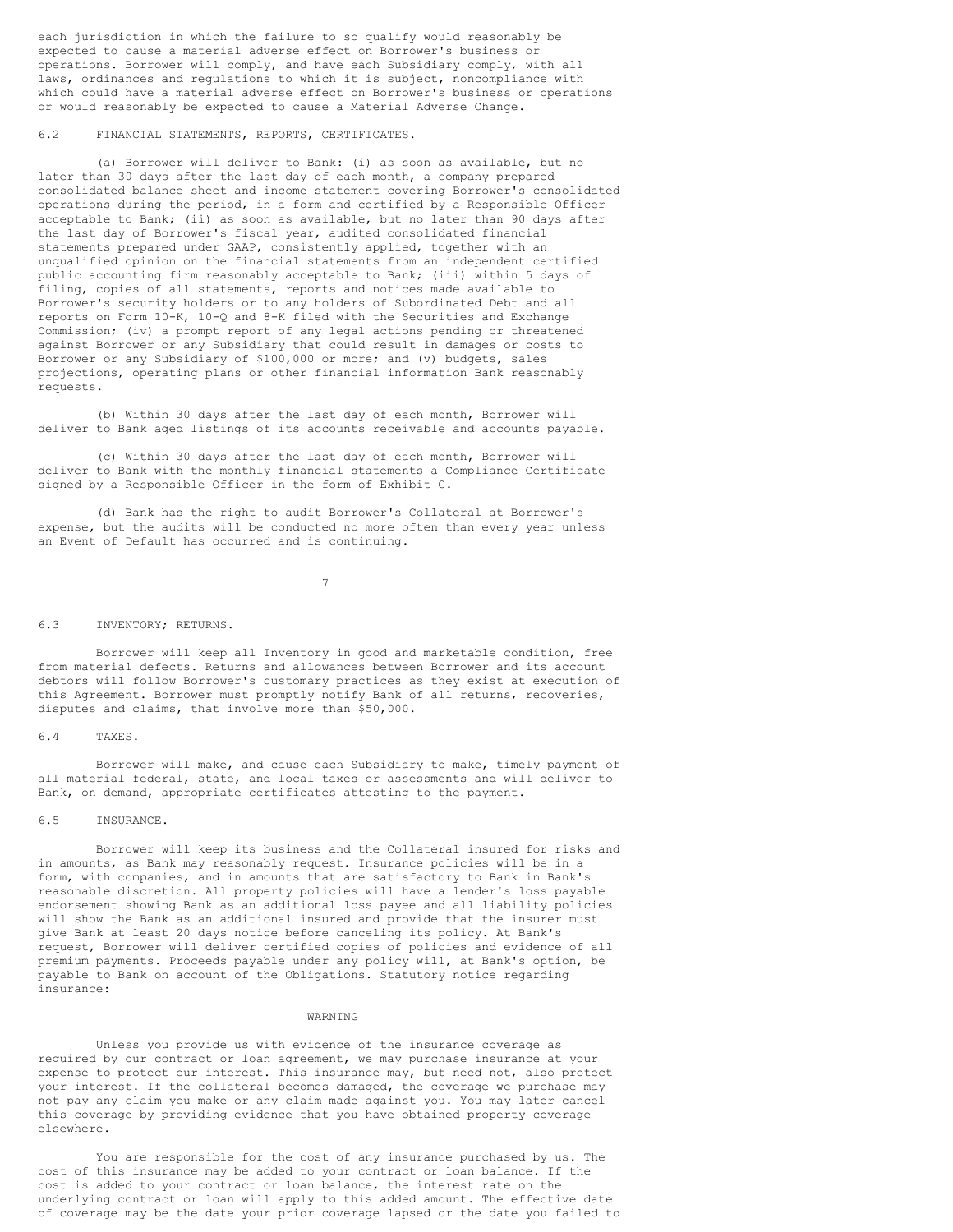each jurisdiction in which the failure to so qualify would reasonably be expected to cause a material adverse effect on Borrower's business or operations. Borrower will comply, and have each Subsidiary comply, with all laws, ordinances and regulations to which it is subject, noncompliance with which could have a material adverse effect on Borrower's business or operations or would reasonably be expected to cause a Material Adverse Change.

## 6.2 FINANCIAL STATEMENTS, REPORTS, CERTIFICATES.

(a) Borrower will deliver to Bank: (i) as soon as available, but no later than 30 days after the last day of each month, a company prepared consolidated balance sheet and income statement covering Borrower's consolidated operations during the period, in a form and certified by a Responsible Officer acceptable to Bank; (ii) as soon as available, but no later than 90 days after the last day of Borrower's fiscal year, audited consolidated financial statements prepared under GAAP, consistently applied, together with an unqualified opinion on the financial statements from an independent certified public accounting firm reasonably acceptable to Bank; (iii) within 5 days of filing, copies of all statements, reports and notices made available to Borrower's security holders or to any holders of Subordinated Debt and all reports on Form 10-K, 10-Q and 8-K filed with the Securities and Exchange Commission; (iv) a prompt report of any legal actions pending or threatened against Borrower or any Subsidiary that could result in damages or costs to Borrower or any Subsidiary of \$100,000 or more; and (v) budgets, sales projections, operating plans or other financial information Bank reasonably requests.

(b) Within 30 days after the last day of each month, Borrower will deliver to Bank aged listings of its accounts receivable and accounts payable.

(c) Within 30 days after the last day of each month, Borrower will deliver to Bank with the monthly financial statements a Compliance Certificate signed by a Responsible Officer in the form of Exhibit C.

(d) Bank has the right to audit Borrower's Collateral at Borrower's expense, but the audits will be conducted no more often than every year unless an Event of Default has occurred and is continuing.

7

### 6.3 INVENTORY; RETURNS.

Borrower will keep all Inventory in good and marketable condition, free from material defects. Returns and allowances between Borrower and its account debtors will follow Borrower's customary practices as they exist at execution of this Agreement. Borrower must promptly notify Bank of all returns, recoveries, disputes and claims, that involve more than \$50,000.

## 6.4 TAXES.

Borrower will make, and cause each Subsidiary to make, timely payment of all material federal, state, and local taxes or assessments and will deliver to Bank, on demand, appropriate certificates attesting to the payment.

## 6.5 INSURANCE.

Borrower will keep its business and the Collateral insured for risks and in amounts, as Bank may reasonably request. Insurance policies will be in a form, with companies, and in amounts that are satisfactory to Bank in Bank's reasonable discretion. All property policies will have a lender's loss payable endorsement showing Bank as an additional loss payee and all liability policies will show the Bank as an additional insured and provide that the insurer must give Bank at least 20 days notice before canceling its policy. At Bank's request, Borrower will deliver certified copies of policies and evidence of all premium payments. Proceeds payable under any policy will, at Bank's option, be payable to Bank on account of the Obligations. Statutory notice regarding insurance:

#### WARNING

Unless you provide us with evidence of the insurance coverage as required by our contract or loan agreement, we may purchase insurance at your expense to protect our interest. This insurance may, but need not, also protect your interest. If the collateral becomes damaged, the coverage we purchase may not pay any claim you make or any claim made against you. You may later cancel this coverage by providing evidence that you have obtained property coverage elsewhere.

You are responsible for the cost of any insurance purchased by us. The cost of this insurance may be added to your contract or loan balance. If the cost is added to your contract or loan balance, the interest rate on the underlying contract or loan will apply to this added amount. The effective date of coverage may be the date your prior coverage lapsed or the date you failed to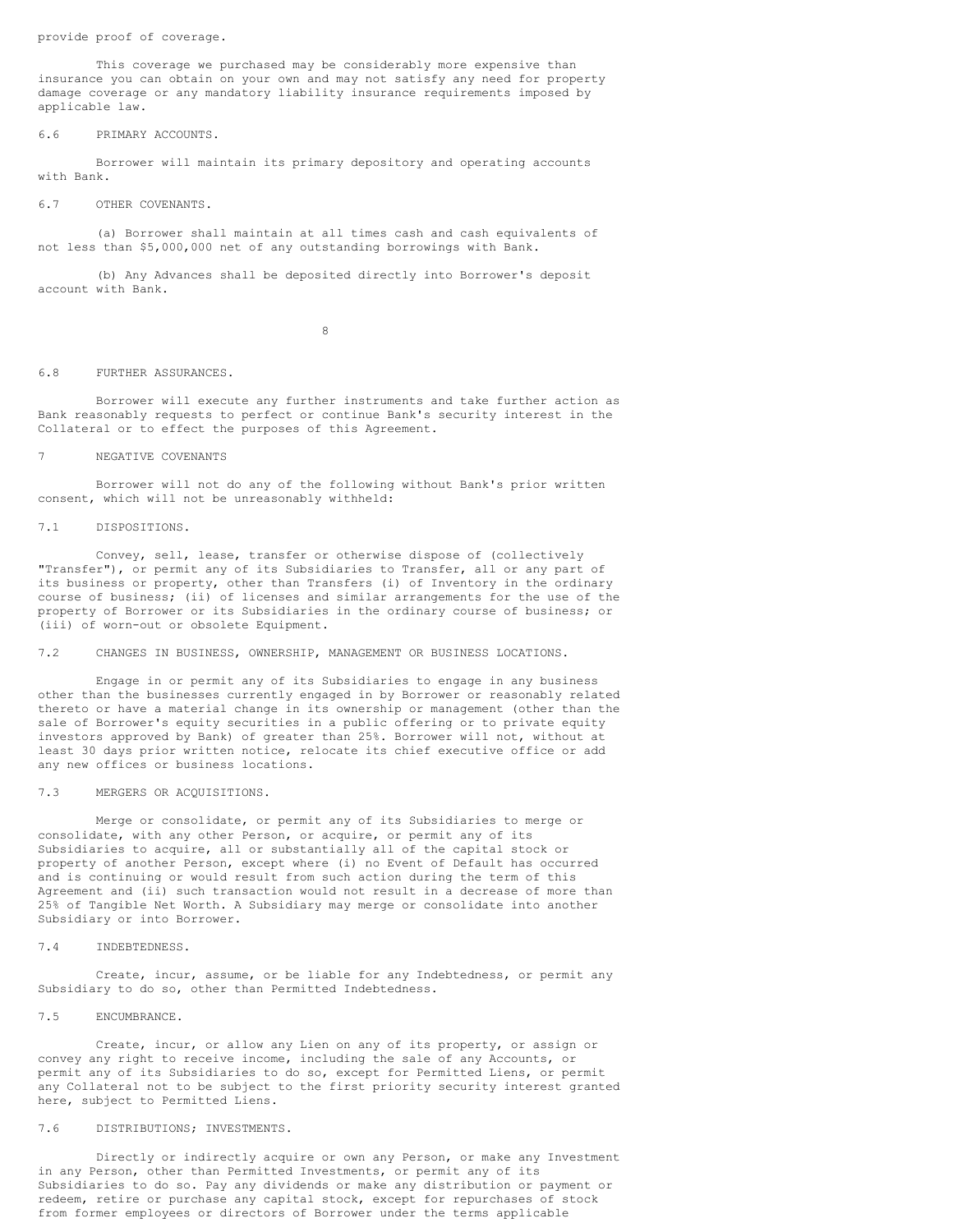provide proof of coverage.

This coverage we purchased may be considerably more expensive than insurance you can obtain on your own and may not satisfy any need for property damage coverage or any mandatory liability insurance requirements imposed by applicable law.

### 6.6 PRIMARY ACCOUNTS.

Borrower will maintain its primary depository and operating accounts with Bank.

## 6.7 OTHER COVENANTS.

(a) Borrower shall maintain at all times cash and cash equivalents of not less than \$5,000,000 net of any outstanding borrowings with Bank.

(b) Any Advances shall be deposited directly into Borrower's deposit account with Bank.

8

#### 6.8 FURTHER ASSURANCES.

Borrower will execute any further instruments and take further action as Bank reasonably requests to perfect or continue Bank's security interest in the Collateral or to effect the purposes of this Agreement.

## 7 NEGATIVE COVENANTS

Borrower will not do any of the following without Bank's prior written consent, which will not be unreasonably withheld:

### 7.1 DISPOSITIONS.

Convey, sell, lease, transfer or otherwise dispose of (collectively "Transfer"), or permit any of its Subsidiaries to Transfer, all or any part of its business or property, other than Transfers (i) of Inventory in the ordinary course of business; (ii) of licenses and similar arrangements for the use of the property of Borrower or its Subsidiaries in the ordinary course of business; or (iii) of worn-out or obsolete Equipment.

## 7.2 CHANGES IN BUSINESS, OWNERSHIP, MANAGEMENT OR BUSINESS LOCATIONS.

Engage in or permit any of its Subsidiaries to engage in any business other than the businesses currently engaged in by Borrower or reasonably related thereto or have a material change in its ownership or management (other than the sale of Borrower's equity securities in a public offering or to private equity investors approved by Bank) of greater than 25%. Borrower will not, without at least 30 days prior written notice, relocate its chief executive office or add any new offices or business locations.

## 7.3 MERGERS OR ACQUISITIONS.

Merge or consolidate, or permit any of its Subsidiaries to merge or consolidate, with any other Person, or acquire, or permit any of its Subsidiaries to acquire, all or substantially all of the capital stock or property of another Person, except where (i) no Event of Default has occurred and is continuing or would result from such action during the term of this Agreement and (ii) such transaction would not result in a decrease of more than 25% of Tangible Net Worth. A Subsidiary may merge or consolidate into another Subsidiary or into Borrower.

## 7.4 INDEBTEDNESS.

Create, incur, assume, or be liable for any Indebtedness, or permit any Subsidiary to do so, other than Permitted Indebtedness.

## 7.5 ENCUMBRANCE.

Create, incur, or allow any Lien on any of its property, or assign or convey any right to receive income, including the sale of any Accounts, or permit any of its Subsidiaries to do so, except for Permitted Liens, or permit any Collateral not to be subject to the first priority security interest granted here, subject to Permitted Liens.

## 7.6 DISTRIBUTIONS; INVESTMENTS.

Directly or indirectly acquire or own any Person, or make any Investment in any Person, other than Permitted Investments, or permit any of its Subsidiaries to do so. Pay any dividends or make any distribution or payment or redeem, retire or purchase any capital stock, except for repurchases of stock from former employees or directors of Borrower under the terms applicable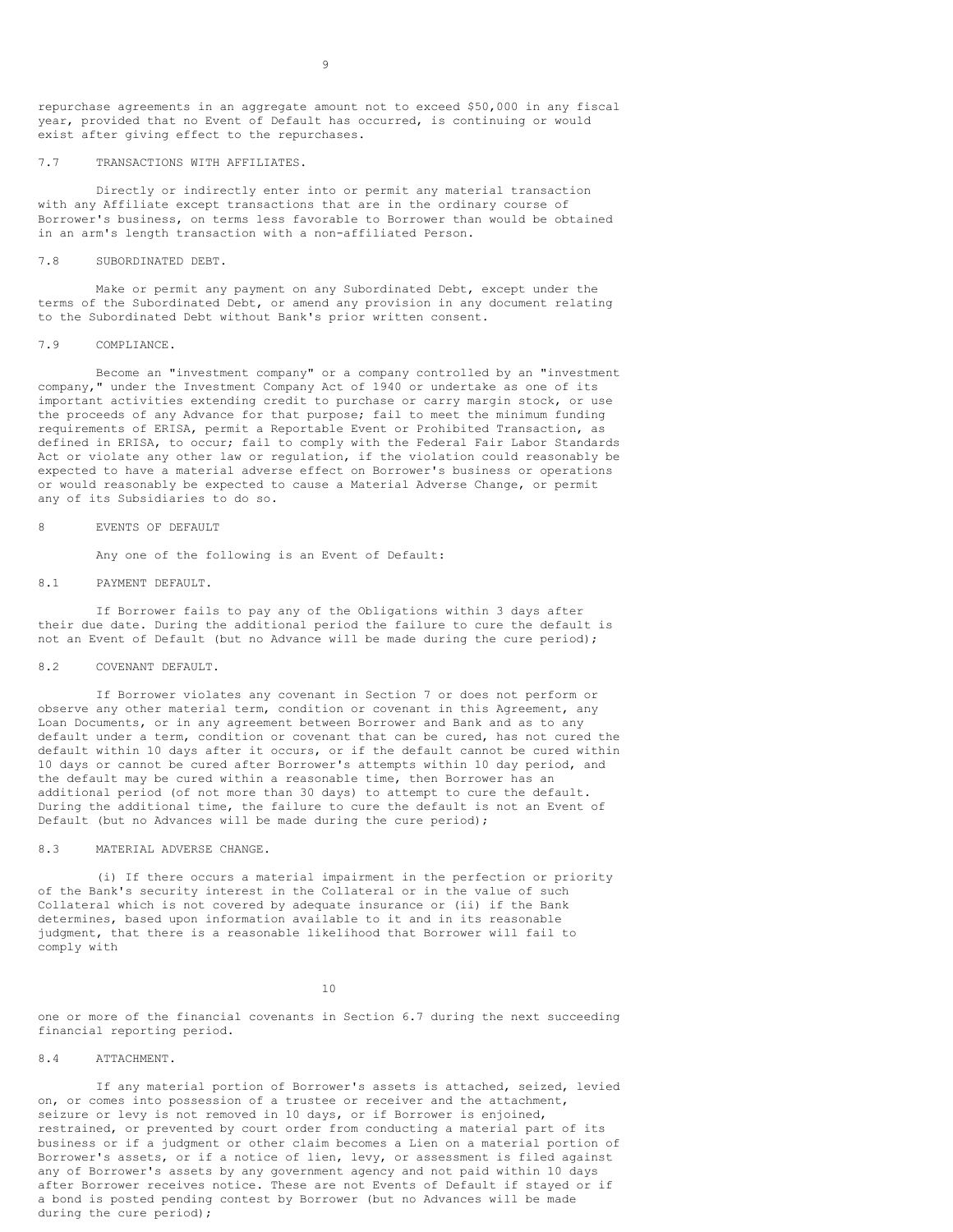repurchase agreements in an aggregate amount not to exceed \$50,000 in any fiscal year, provided that no Event of Default has occurred, is continuing or would exist after giving effect to the repurchases.

### 7.7 TRANSACTIONS WITH AFFILIATES.

Directly or indirectly enter into or permit any material transaction with any Affiliate except transactions that are in the ordinary course of Borrower's business, on terms less favorable to Borrower than would be obtained in an arm's length transaction with a non-affiliated Person.

7.8 SUBORDINATED DEBT.

Make or permit any payment on any Subordinated Debt, except under the terms of the Subordinated Debt, or amend any provision in any document relating to the Subordinated Debt without Bank's prior written consent.

#### 7.9 COMPLIANCE.

Become an "investment company" or a company controlled by an "investment company," under the Investment Company Act of 1940 or undertake as one of its important activities extending credit to purchase or carry margin stock, or use the proceeds of any Advance for that purpose; fail to meet the minimum funding requirements of ERISA, permit a Reportable Event or Prohibited Transaction, as defined in ERISA, to occur; fail to comply with the Federal Fair Labor Standards Act or violate any other law or regulation, if the violation could reasonably be expected to have a material adverse effect on Borrower's business or operations or would reasonably be expected to cause a Material Adverse Change, or permit any of its Subsidiaries to do so.

## 8 EVENTS OF DEFAULT

Any one of the following is an Event of Default:

## 8.1 PAYMENT DEFAULT.

If Borrower fails to pay any of the Obligations within 3 days after their due date. During the additional period the failure to cure the default is not an Event of Default (but no Advance will be made during the cure period);

## 8.2 COVENANT DEFAULT.

If Borrower violates any covenant in Section 7 or does not perform or observe any other material term, condition or covenant in this Agreement, any Loan Documents, or in any agreement between Borrower and Bank and as to any default under a term, condition or covenant that can be cured, has not cured the default within 10 days after it occurs, or if the default cannot be cured within 10 days or cannot be cured after Borrower's attempts within 10 day period, and the default may be cured within a reasonable time, then Borrower has an additional period (of not more than 30 days) to attempt to cure the default. During the additional time, the failure to cure the default is not an Event of Default (but no Advances will be made during the cure period);

### 8.3 MATERIAL ADVERSE CHANGE.

(i) If there occurs a material impairment in the perfection or priority of the Bank's security interest in the Collateral or in the value of such Collateral which is not covered by adequate insurance or (ii) if the Bank determines, based upon information available to it and in its reasonable judgment, that there is a reasonable likelihood that Borrower will fail to comply with

10

one or more of the financial covenants in Section 6.7 during the next succeeding financial reporting period.

# 8.4 ATTACHMENT.

If any material portion of Borrower's assets is attached, seized, levied on, or comes into possession of a trustee or receiver and the attachment, seizure or levy is not removed in 10 days, or if Borrower is enjoined, restrained, or prevented by court order from conducting a material part of its business or if a judgment or other claim becomes a Lien on a material portion of Borrower's assets, or if a notice of lien, levy, or assessment is filed against any of Borrower's assets by any government agency and not paid within 10 days after Borrower receives notice. These are not Events of Default if stayed or if a bond is posted pending contest by Borrower (but no Advances will be made during the cure period);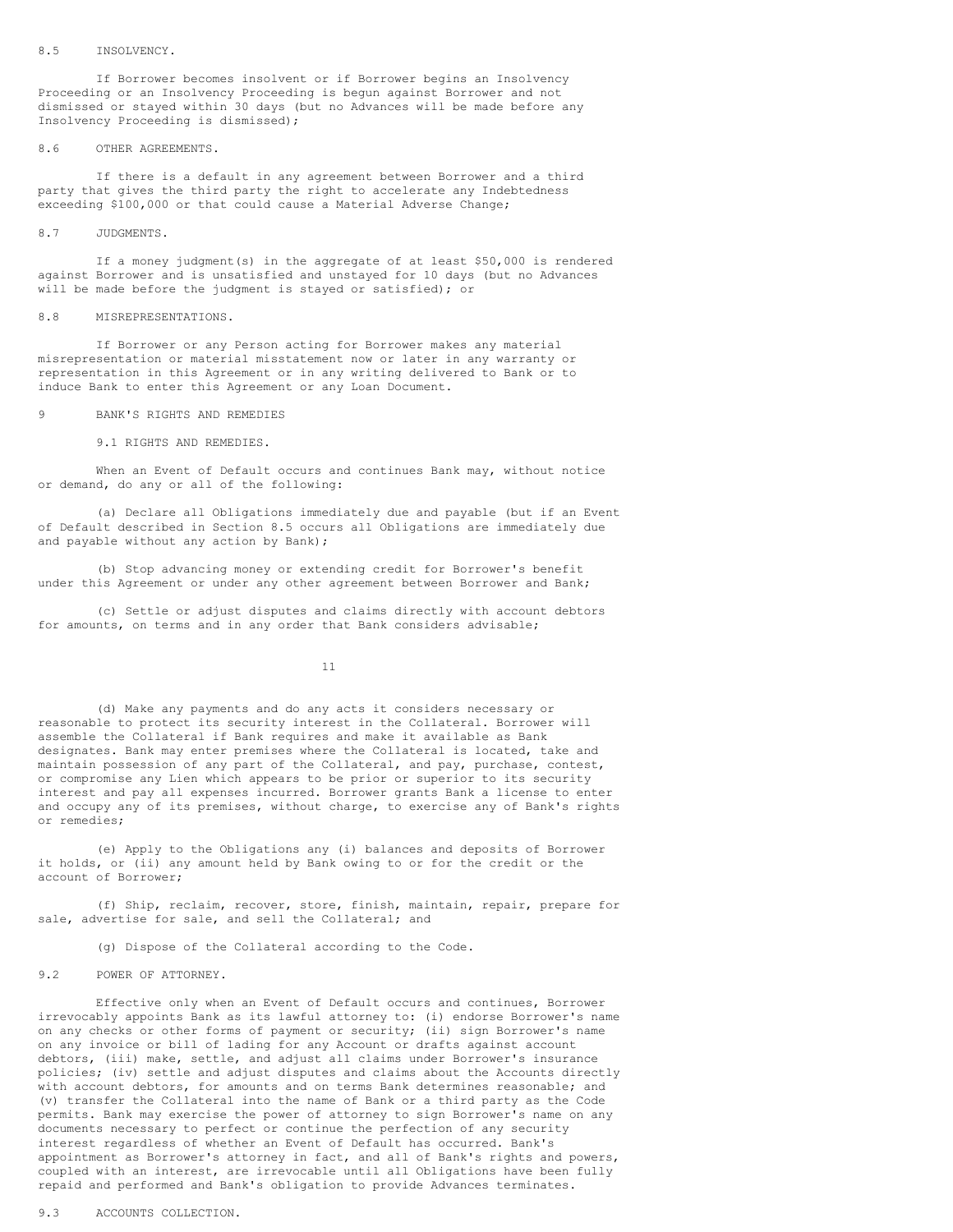## 8.5 INSOLVENCY.

If Borrower becomes insolvent or if Borrower begins an Insolvency Proceeding or an Insolvency Proceeding is begun against Borrower and not dismissed or stayed within 30 days (but no Advances will be made before any Insolvency Proceeding is dismissed);

### 8.6 OTHER AGREEMENTS.

If there is a default in any agreement between Borrower and a third party that gives the third party the right to accelerate any Indebtedness exceeding \$100,000 or that could cause a Material Adverse Change;

## 8.7 JUDGMENTS.

If a money judgment(s) in the aggregate of at least \$50,000 is rendered against Borrower and is unsatisfied and unstayed for 10 days (but no Advances will be made before the judgment is stayed or satisfied); or

### 8.8 MISREPRESENTATIONS.

If Borrower or any Person acting for Borrower makes any material misrepresentation or material misstatement now or later in any warranty or representation in this Agreement or in any writing delivered to Bank or to induce Bank to enter this Agreement or any Loan Document.

## 9 BANK'S RIGHTS AND REMEDIES

9.1 RIGHTS AND REMEDIES.

When an Event of Default occurs and continues Bank may, without notice or demand, do any or all of the following:

(a) Declare all Obligations immediately due and payable (but if an Event of Default described in Section 8.5 occurs all Obligations are immediately due and payable without any action by Bank);

(b) Stop advancing money or extending credit for Borrower's benefit under this Agreement or under any other agreement between Borrower and Bank;

(c) Settle or adjust disputes and claims directly with account debtors for amounts, on terms and in any order that Bank considers advisable;

11

(d) Make any payments and do any acts it considers necessary or reasonable to protect its security interest in the Collateral. Borrower will assemble the Collateral if Bank requires and make it available as Bank designates. Bank may enter premises where the Collateral is located, take and maintain possession of any part of the Collateral, and pay, purchase, contest, or compromise any Lien which appears to be prior or superior to its security interest and pay all expenses incurred. Borrower grants Bank a license to enter and occupy any of its premises, without charge, to exercise any of Bank's rights or remedies;

(e) Apply to the Obligations any (i) balances and deposits of Borrower it holds, or (ii) any amount held by Bank owing to or for the credit or the account of Borrower;

(f) Ship, reclaim, recover, store, finish, maintain, repair, prepare for sale, advertise for sale, and sell the Collateral; and

(g) Dispose of the Collateral according to the Code.

### 9.2 POWER OF ATTORNEY.

Effective only when an Event of Default occurs and continues, Borrower irrevocably appoints Bank as its lawful attorney to: (i) endorse Borrower's name on any checks or other forms of payment or security; (ii) sign Borrower's name on any invoice or bill of lading for any Account or drafts against account debtors, (iii) make, settle, and adjust all claims under Borrower's insurance policies; (iv) settle and adjust disputes and claims about the Accounts directly with account debtors, for amounts and on terms Bank determines reasonable; and (v) transfer the Collateral into the name of Bank or a third party as the Code permits. Bank may exercise the power of attorney to sign Borrower's name on any documents necessary to perfect or continue the perfection of any security interest regardless of whether an Event of Default has occurred. Bank's appointment as Borrower's attorney in fact, and all of Bank's rights and powers, coupled with an interest, are irrevocable until all Obligations have been fully repaid and performed and Bank's obligation to provide Advances terminates.

## 9.3 ACCOUNTS COLLECTION.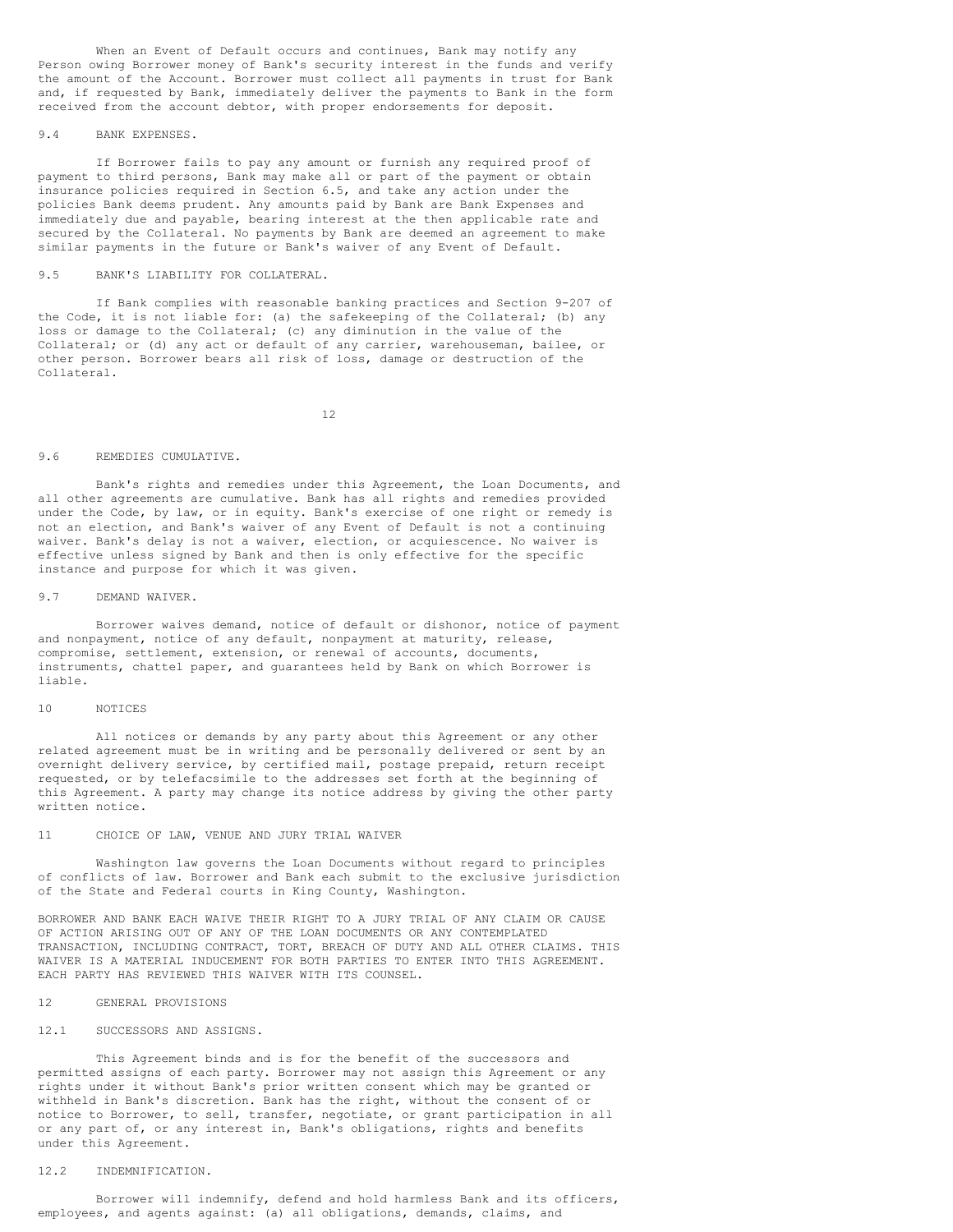When an Event of Default occurs and continues, Bank may notify any Person owing Borrower money of Bank's security interest in the funds and verify the amount of the Account. Borrower must collect all payments in trust for Bank and, if requested by Bank, immediately deliver the payments to Bank in the form received from the account debtor, with proper endorsements for deposit.

### 9.4 BANK EXPENSES.

If Borrower fails to pay any amount or furnish any required proof of payment to third persons, Bank may make all or part of the payment or obtain insurance policies required in Section 6.5, and take any action under the policies Bank deems prudent. Any amounts paid by Bank are Bank Expenses and immediately due and payable, bearing interest at the then applicable rate and secured by the Collateral. No payments by Bank are deemed an agreement to make similar payments in the future or Bank's waiver of any Event of Default.

## 9.5 BANK'S LIABILITY FOR COLLATERAL.

If Bank complies with reasonable banking practices and Section 9-207 of the Code, it is not liable for: (a) the safekeeping of the Collateral; (b) any loss or damage to the Collateral; (c) any diminution in the value of the Collateral; or (d) any act or default of any carrier, warehouseman, bailee, or other person. Borrower bears all risk of loss, damage or destruction of the Collateral.

12

## 9.6 REMEDIES CUMULATIVE.

Bank's rights and remedies under this Agreement, the Loan Documents, and all other agreements are cumulative. Bank has all rights and remedies provided under the Code, by law, or in equity. Bank's exercise of one right or remedy is not an election, and Bank's waiver of any Event of Default is not a continuing waiver. Bank's delay is not a waiver, election, or acquiescence. No waiver is effective unless signed by Bank and then is only effective for the specific instance and purpose for which it was given.

## 9.7 DEMAND WAIVER.

Borrower waives demand, notice of default or dishonor, notice of payment and nonpayment, notice of any default, nonpayment at maturity, release, compromise, settlement, extension, or renewal of accounts, documents, instruments, chattel paper, and guarantees held by Bank on which Borrower is liable.

## 10 NOTICES

All notices or demands by any party about this Agreement or any other related agreement must be in writing and be personally delivered or sent by an overnight delivery service, by certified mail, postage prepaid, return receipt requested, or by telefacsimile to the addresses set forth at the beginning of this Agreement. A party may change its notice address by giving the other party written notice.

## 11 CHOICE OF LAW, VENUE AND JURY TRIAL WAIVER

Washington law governs the Loan Documents without regard to principles of conflicts of law. Borrower and Bank each submit to the exclusive jurisdiction of the State and Federal courts in King County, Washington.

BORROWER AND BANK EACH WAIVE THEIR RIGHT TO A JURY TRIAL OF ANY CLAIM OR CAUSE OF ACTION ARISING OUT OF ANY OF THE LOAN DOCUMENTS OR ANY CONTEMPLATED TRANSACTION, INCLUDING CONTRACT, TORT, BREACH OF DUTY AND ALL OTHER CLAIMS. THIS WAIVER IS A MATERIAL INDUCEMENT FOR BOTH PARTIES TO ENTER INTO THIS AGREEMENT. EACH PARTY HAS REVIEWED THIS WAIVER WITH ITS COUNSEL.

# 12 GENERAL PROVISIONS

### 12.1 SUCCESSORS AND ASSIGNS.

This Agreement binds and is for the benefit of the successors and permitted assigns of each party. Borrower may not assign this Agreement or any rights under it without Bank's prior written consent which may be granted or withheld in Bank's discretion. Bank has the right, without the consent of or notice to Borrower, to sell, transfer, negotiate, or grant participation in all or any part of, or any interest in, Bank's obligations, rights and benefits under this Agreement.

## 12.2 INDEMNIFICATION.

Borrower will indemnify, defend and hold harmless Bank and its officers, employees, and agents against: (a) all obligations, demands, claims, and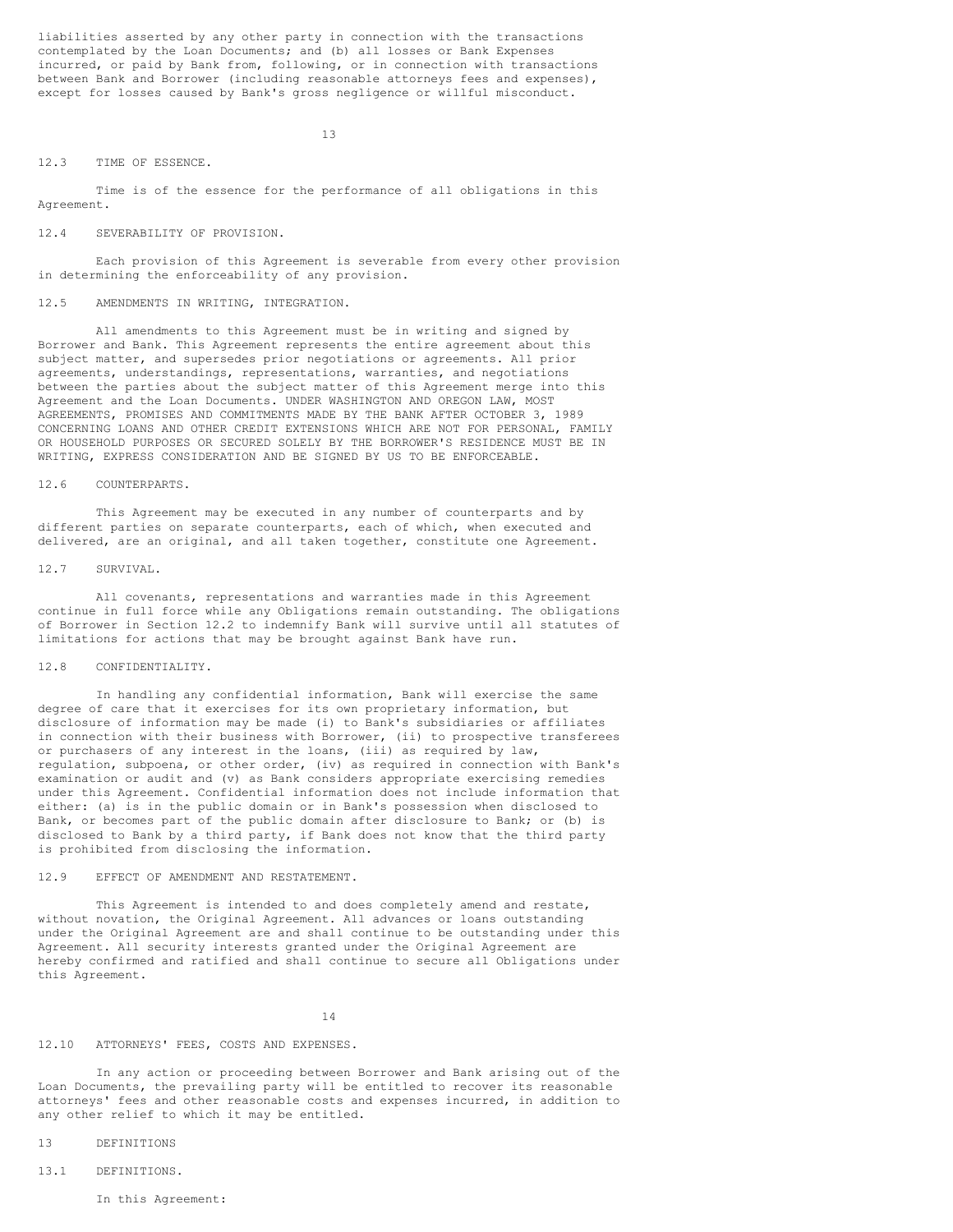liabilities asserted by any other party in connection with the transactions contemplated by the Loan Documents; and (b) all losses or Bank Expenses incurred, or paid by Bank from, following, or in connection with transactions between Bank and Borrower (including reasonable attorneys fees and expenses), except for losses caused by Bank's gross negligence or willful misconduct.

13

### 12.3 TIME OF ESSENCE.

Time is of the essence for the performance of all obligations in this Agreement.

#### 12.4 SEVERABILITY OF PROVISION.

Each provision of this Agreement is severable from every other provision in determining the enforceability of any provision.

#### 12.5 AMENDMENTS IN WRITING, INTEGRATION.

All amendments to this Agreement must be in writing and signed by Borrower and Bank. This Agreement represents the entire agreement about this subject matter, and supersedes prior negotiations or agreements. All prior agreements, understandings, representations, warranties, and negotiations between the parties about the subject matter of this Agreement merge into this Agreement and the Loan Documents. UNDER WASHINGTON AND OREGON LAW, MOST AGREEMENTS, PROMISES AND COMMITMENTS MADE BY THE BANK AFTER OCTOBER 3, 1989 CONCERNING LOANS AND OTHER CREDIT EXTENSIONS WHICH ARE NOT FOR PERSONAL, FAMILY OR HOUSEHOLD PURPOSES OR SECURED SOLELY BY THE BORROWER'S RESIDENCE MUST BE IN WRITING, EXPRESS CONSIDERATION AND BE SIGNED BY US TO BE ENFORCEABLE.

## 12.6 COUNTERPARTS.

This Agreement may be executed in any number of counterparts and by different parties on separate counterparts, each of which, when executed and delivered, are an original, and all taken together, constitute one Agreement.

### 12.7 SURVIVAL.

All covenants, representations and warranties made in this Agreement continue in full force while any Obligations remain outstanding. The obligations of Borrower in Section 12.2 to indemnify Bank will survive until all statutes of limitations for actions that may be brought against Bank have run.

## 12.8 CONFIDENTIALITY.

In handling any confidential information, Bank will exercise the same degree of care that it exercises for its own proprietary information, but disclosure of information may be made (i) to Bank's subsidiaries or affiliates in connection with their business with Borrower, (ii) to prospective transferees or purchasers of any interest in the loans, (iii) as required by law, regulation, subpoena, or other order, (iv) as required in connection with Bank's examination or audit and (v) as Bank considers appropriate exercising remedies under this Agreement. Confidential information does not include information that either: (a) is in the public domain or in Bank's possession when disclosed to Bank, or becomes part of the public domain after disclosure to Bank; or (b) is disclosed to Bank by a third party, if Bank does not know that the third party is prohibited from disclosing the information.

### 12.9 EFFECT OF AMENDMENT AND RESTATEMENT.

This Agreement is intended to and does completely amend and restate, without novation, the Original Agreement. All advances or loans outstanding under the Original Agreement are and shall continue to be outstanding under this Agreement. All security interests granted under the Original Agreement are hereby confirmed and ratified and shall continue to secure all Obligations under this Agreement.

#### 14

# 12.10 ATTORNEYS' FEES, COSTS AND EXPENSES.

In any action or proceeding between Borrower and Bank arising out of the Loan Documents, the prevailing party will be entitled to recover its reasonable attorneys' fees and other reasonable costs and expenses incurred, in addition to any other relief to which it may be entitled.

- 13 DEFINITIONS
- 13.1 DEFINITIONS.
	- In this Agreement: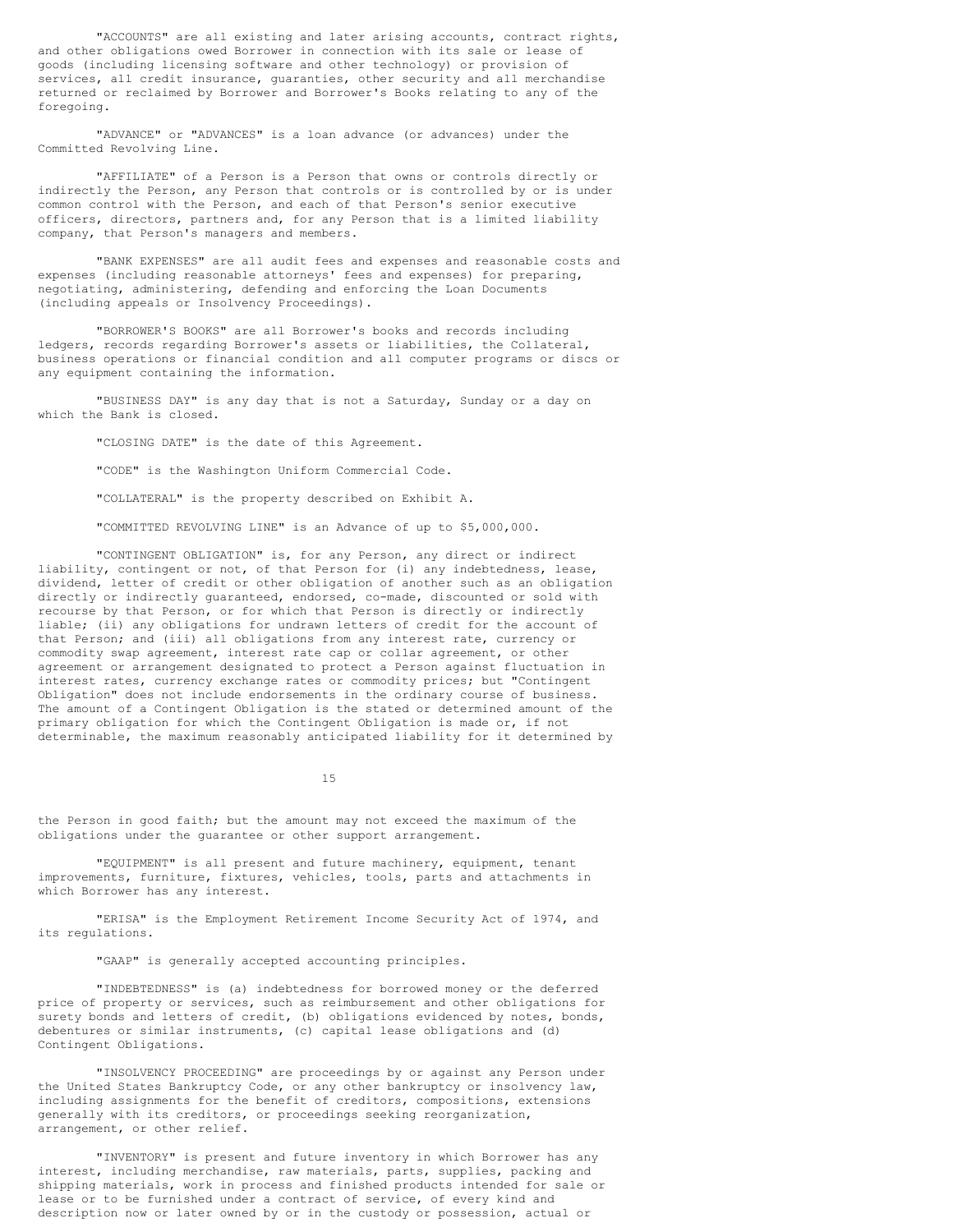"ACCOUNTS" are all existing and later arising accounts, contract rights, and other obligations owed Borrower in connection with its sale or lease of goods (including licensing software and other technology) or provision of services, all credit insurance, guaranties, other security and all merchandise returned or reclaimed by Borrower and Borrower's Books relating to any of the foregoing.

"ADVANCE" or "ADVANCES" is a loan advance (or advances) under the Committed Revolving Line.

"AFFILIATE" of a Person is a Person that owns or controls directly or indirectly the Person, any Person that controls or is controlled by or is under common control with the Person, and each of that Person's senior executive officers, directors, partners and, for any Person that is a limited liability company, that Person's managers and members.

"BANK EXPENSES" are all audit fees and expenses and reasonable costs and expenses (including reasonable attorneys' fees and expenses) for preparing, negotiating, administering, defending and enforcing the Loan Documents (including appeals or Insolvency Proceedings).

"BORROWER'S BOOKS" are all Borrower's books and records including ledgers, records regarding Borrower's assets or liabilities, the Collateral, business operations or financial condition and all computer programs or discs or any equipment containing the information.

"BUSINESS DAY" is any day that is not a Saturday, Sunday or a day on which the Bank is closed.

"CLOSING DATE" is the date of this Agreement.

"CODE" is the Washington Uniform Commercial Code.

"COLLATERAL" is the property described on Exhibit A.

"COMMITTED REVOLVING LINE" is an Advance of up to \$5,000,000.

"CONTINGENT OBLIGATION" is, for any Person, any direct or indirect liability, contingent or not, of that Person for (i) any indebtedness, lease, dividend, letter of credit or other obligation of another such as an obligation directly or indirectly guaranteed, endorsed, co-made, discounted or sold with recourse by that Person, or for which that Person is directly or indirectly liable; (ii) any obligations for undrawn letters of credit for the account of that Person; and (iii) all obligations from any interest rate, currency or commodity swap agreement, interest rate cap or collar agreement, or other agreement or arrangement designated to protect a Person against fluctuation in interest rates, currency exchange rates or commodity prices; but "Contingent Obligation" does not include endorsements in the ordinary course of business. The amount of a Contingent Obligation is the stated or determined amount of the primary obligation for which the Contingent Obligation is made or, if not determinable, the maximum reasonably anticipated liability for it determined by

15

the Person in good faith; but the amount may not exceed the maximum of the obligations under the guarantee or other support arrangement.

"EQUIPMENT" is all present and future machinery, equipment, tenant improvements, furniture, fixtures, vehicles, tools, parts and attachments in which Borrower has any interest.

"ERISA" is the Employment Retirement Income Security Act of 1974, and its regulations.

"GAAP" is generally accepted accounting principles.

"INDEBTEDNESS" is (a) indebtedness for borrowed money or the deferred price of property or services, such as reimbursement and other obligations for surety bonds and letters of credit, (b) obligations evidenced by notes, bonds, debentures or similar instruments, (c) capital lease obligations and (d) Contingent Obligations.

"INSOLVENCY PROCEEDING" are proceedings by or against any Person under the United States Bankruptcy Code, or any other bankruptcy or insolvency law, including assignments for the benefit of creditors, compositions, extensions generally with its creditors, or proceedings seeking reorganization, arrangement, or other relief.

"INVENTORY" is present and future inventory in which Borrower has any interest, including merchandise, raw materials, parts, supplies, packing and shipping materials, work in process and finished products intended for sale or lease or to be furnished under a contract of service, of every kind and description now or later owned by or in the custody or possession, actual or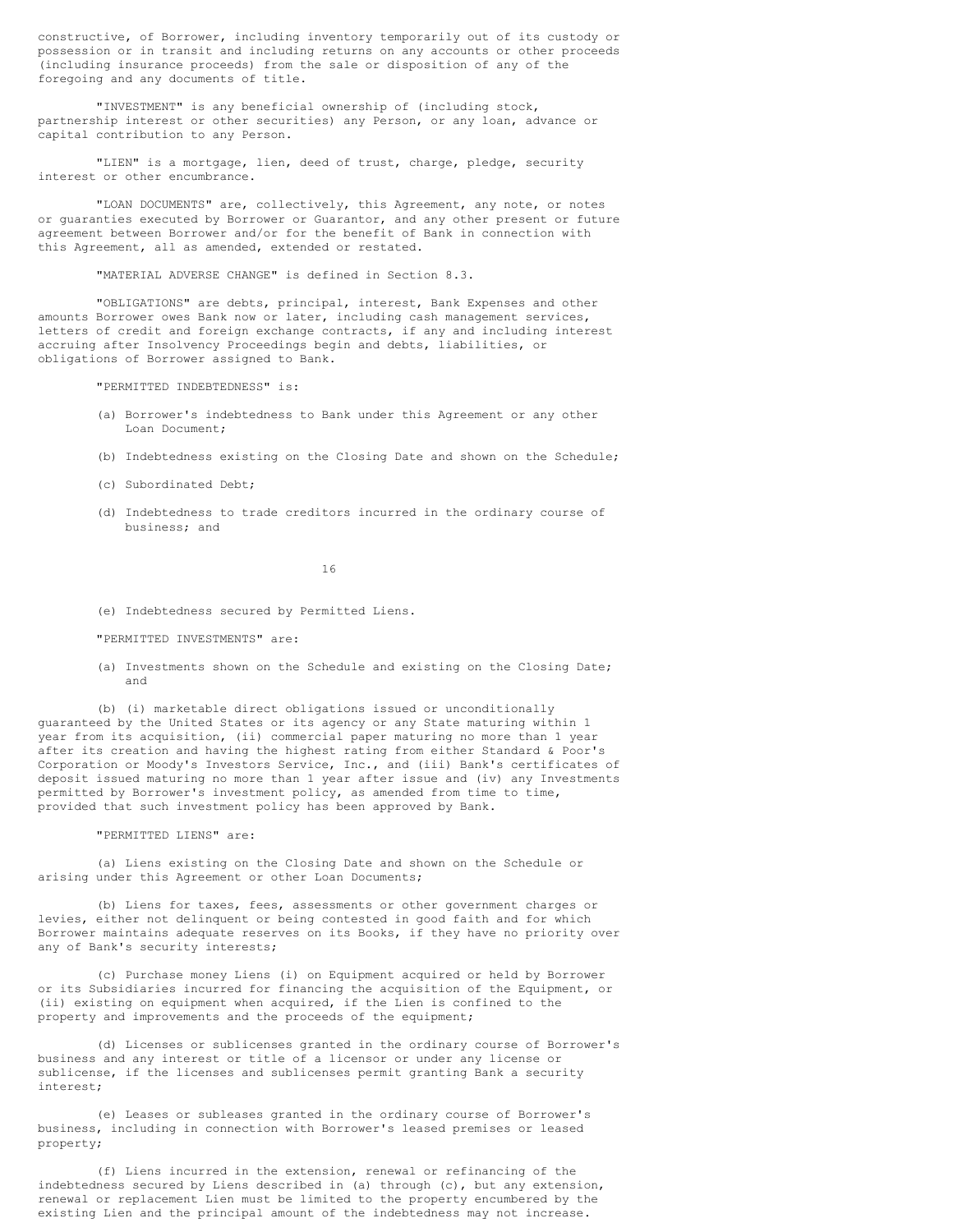constructive, of Borrower, including inventory temporarily out of its custody or possession or in transit and including returns on any accounts or other proceeds (including insurance proceeds) from the sale or disposition of any of the foregoing and any documents of title.

"INVESTMENT" is any beneficial ownership of (including stock, partnership interest or other securities) any Person, or any loan, advance or capital contribution to any Person.

"LIEN" is a mortgage, lien, deed of trust, charge, pledge, security interest or other encumbrance.

"LOAN DOCUMENTS" are, collectively, this Agreement, any note, or notes or guaranties executed by Borrower or Guarantor, and any other present or future agreement between Borrower and/or for the benefit of Bank in connection with this Agreement, all as amended, extended or restated.

"MATERIAL ADVERSE CHANGE" is defined in Section 8.3.

"OBLIGATIONS" are debts, principal, interest, Bank Expenses and other amounts Borrower owes Bank now or later, including cash management services, letters of credit and foreign exchange contracts, if any and including interest accruing after Insolvency Proceedings begin and debts, liabilities, or obligations of Borrower assigned to Bank.

"PERMITTED INDEBTEDNESS" is:

- (a) Borrower's indebtedness to Bank under this Agreement or any other Loan Document;
- (b) Indebtedness existing on the Closing Date and shown on the Schedule;
- (c) Subordinated Debt;
- (d) Indebtedness to trade creditors incurred in the ordinary course of business; and

16

- (e) Indebtedness secured by Permitted Liens.
- "PERMITTED INVESTMENTS" are:
- (a) Investments shown on the Schedule and existing on the Closing Date; and

(b) (i) marketable direct obligations issued or unconditionally guaranteed by the United States or its agency or any State maturing within 1 year from its acquisition, (ii) commercial paper maturing no more than 1 year after its creation and having the highest rating from either Standard & Poor's Corporation or Moody's Investors Service, Inc., and (iii) Bank's certificates of deposit issued maturing no more than 1 year after issue and (iv) any Investments permitted by Borrower's investment policy, as amended from time to time, provided that such investment policy has been approved by Bank.

#### "PERMITTED LIENS" are:

(a) Liens existing on the Closing Date and shown on the Schedule or arising under this Agreement or other Loan Documents;

(b) Liens for taxes, fees, assessments or other government charges or levies, either not delinquent or being contested in good faith and for which Borrower maintains adequate reserves on its Books, if they have no priority over any of Bank's security interests;

(c) Purchase money Liens (i) on Equipment acquired or held by Borrower or its Subsidiaries incurred for financing the acquisition of the Equipment, or (ii) existing on equipment when acquired, if the Lien is confined to the property and improvements and the proceeds of the equipment;

(d) Licenses or sublicenses granted in the ordinary course of Borrower's business and any interest or title of a licensor or under any license or sublicense, if the licenses and sublicenses permit granting Bank a security interest;

(e) Leases or subleases granted in the ordinary course of Borrower's business, including in connection with Borrower's leased premises or leased property;

(f) Liens incurred in the extension, renewal or refinancing of the indebtedness secured by Liens described in (a) through (c), but any extension, renewal or replacement Lien must be limited to the property encumbered by the existing Lien and the principal amount of the indebtedness may not increase.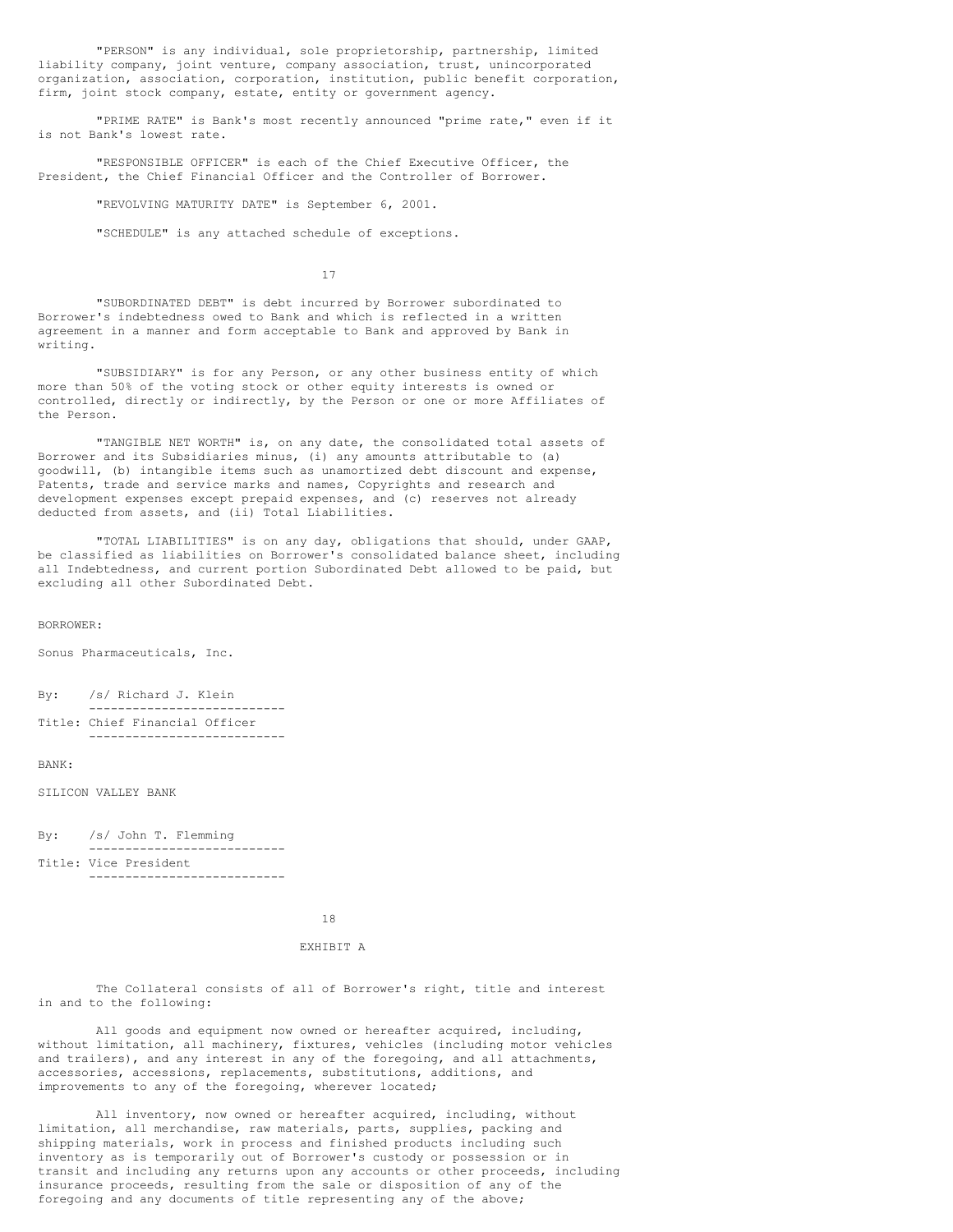"PERSON" is any individual, sole proprietorship, partnership, limited liability company, joint venture, company association, trust, unincorporated organization, association, corporation, institution, public benefit corporation, firm, joint stock company, estate, entity or government agency.

"PRIME RATE" is Bank's most recently announced "prime rate," even if it is not Bank's lowest rate.

"RESPONSIBLE OFFICER" is each of the Chief Executive Officer, the President, the Chief Financial Officer and the Controller of Borrower.

"REVOLVING MATURITY DATE" is September 6, 2001.

"SCHEDULE" is any attached schedule of exceptions.

17

"SUBORDINATED DEBT" is debt incurred by Borrower subordinated to Borrower's indebtedness owed to Bank and which is reflected in a written agreement in a manner and form acceptable to Bank and approved by Bank in writing.

"SUBSIDIARY" is for any Person, or any other business entity of which more than 50% of the voting stock or other equity interests is owned or controlled, directly or indirectly, by the Person or one or more Affiliates of the Person.

"TANGIBLE NET WORTH" is, on any date, the consolidated total assets of Borrower and its Subsidiaries minus, (i) any amounts attributable to (a) goodwill, (b) intangible items such as unamortized debt discount and expense, Patents, trade and service marks and names, Copyrights and research and development expenses except prepaid expenses, and (c) reserves not already deducted from assets, and (ii) Total Liabilities.

"TOTAL LIABILITIES" is on any day, obligations that should, under GAAP, be classified as liabilities on Borrower's consolidated balance sheet, including all Indebtedness, and current portion Subordinated Debt allowed to be paid, but excluding all other Subordinated Debt.

BORROWER:

Sonus Pharmaceuticals, Inc.

By: /s/ Richard J. Klein --------------------------- Title: Chief Financial Officer

---------------------------

#### BANK:

SILICON VALLEY BANK

By: /s/ John T. Flemming --------------------------- Title: Vice President

---------------------------

18

## EXHIBIT A

The Collateral consists of all of Borrower's right, title and interest in and to the following:

All goods and equipment now owned or hereafter acquired, including, without limitation, all machinery, fixtures, vehicles (including motor vehicles and trailers), and any interest in any of the foregoing, and all attachments, accessories, accessions, replacements, substitutions, additions, and improvements to any of the foregoing, wherever located;

All inventory, now owned or hereafter acquired, including, without limitation, all merchandise, raw materials, parts, supplies, packing and shipping materials, work in process and finished products including such inventory as is temporarily out of Borrower's custody or possession or in transit and including any returns upon any accounts or other proceeds, including insurance proceeds, resulting from the sale or disposition of any of the foregoing and any documents of title representing any of the above;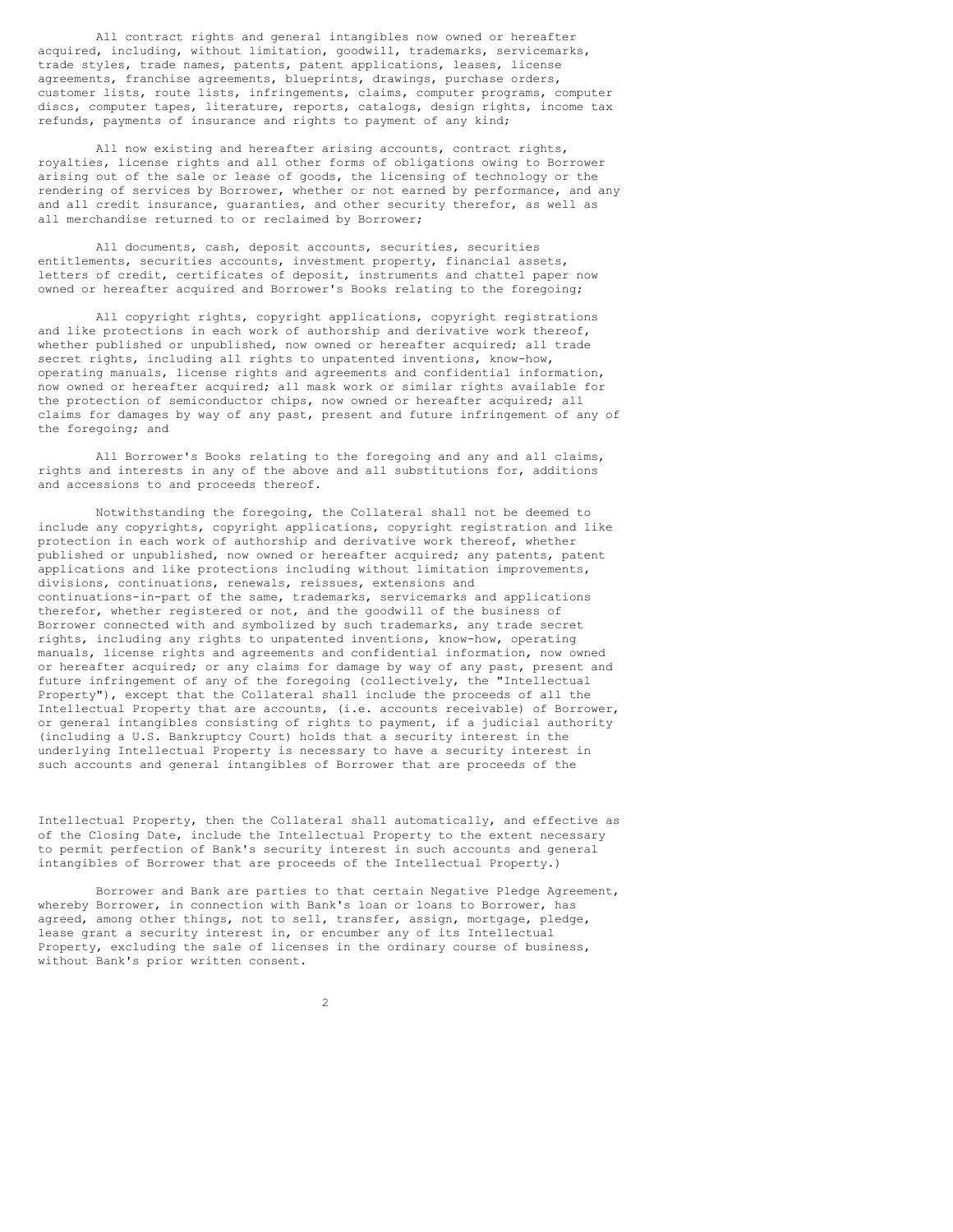All contract rights and general intangibles now owned or hereafter acquired, including, without limitation, goodwill, trademarks, servicemarks, trade styles, trade names, patents, patent applications, leases, license agreements, franchise agreements, blueprints, drawings, purchase orders, customer lists, route lists, infringements, claims, computer programs, computer discs, computer tapes, literature, reports, catalogs, design rights, income tax refunds, payments of insurance and rights to payment of any kind;

All now existing and hereafter arising accounts, contract rights, royalties, license rights and all other forms of obligations owing to Borrower arising out of the sale or lease of goods, the licensing of technology or the rendering of services by Borrower, whether or not earned by performance, and any and all credit insurance, guaranties, and other security therefor, as well as all merchandise returned to or reclaimed by Borrower;

All documents, cash, deposit accounts, securities, securities entitlements, securities accounts, investment property, financial assets, letters of credit, certificates of deposit, instruments and chattel paper now owned or hereafter acquired and Borrower's Books relating to the foregoing;

All copyright rights, copyright applications, copyright registrations and like protections in each work of authorship and derivative work thereof, whether published or unpublished, now owned or hereafter acquired; all trade secret rights, including all rights to unpatented inventions, know-how, operating manuals, license rights and agreements and confidential information, now owned or hereafter acquired; all mask work or similar rights available for the protection of semiconductor chips, now owned or hereafter acquired; all claims for damages by way of any past, present and future infringement of any of the foregoing; and

All Borrower's Books relating to the foregoing and any and all claims, rights and interests in any of the above and all substitutions for, additions and accessions to and proceeds thereof.

Notwithstanding the foregoing, the Collateral shall not be deemed to include any copyrights, copyright applications, copyright registration and like protection in each work of authorship and derivative work thereof, whether published or unpublished, now owned or hereafter acquired; any patents, patent applications and like protections including without limitation improvements, divisions, continuations, renewals, reissues, extensions and continuations-in-part of the same, trademarks, servicemarks and applications therefor, whether registered or not, and the goodwill of the business of Borrower connected with and symbolized by such trademarks, any trade secret rights, including any rights to unpatented inventions, know-how, operating manuals, license rights and agreements and confidential information, now owned or hereafter acquired; or any claims for damage by way of any past, present and future infringement of any of the foregoing (collectively, the "Intellectual Property"), except that the Collateral shall include the proceeds of all the Intellectual Property that are accounts, (i.e. accounts receivable) of Borrower, or general intangibles consisting of rights to payment, if a judicial authority (including a U.S. Bankruptcy Court) holds that a security interest in the underlying Intellectual Property is necessary to have a security interest in such accounts and general intangibles of Borrower that are proceeds of the

Intellectual Property, then the Collateral shall automatically, and effective as of the Closing Date, include the Intellectual Property to the extent necessary to permit perfection of Bank's security interest in such accounts and general intangibles of Borrower that are proceeds of the Intellectual Property.)

Borrower and Bank are parties to that certain Negative Pledge Agreement, whereby Borrower, in connection with Bank's loan or loans to Borrower, has agreed, among other things, not to sell, transfer, assign, mortgage, pledge, lease grant a security interest in, or encumber any of its Intellectual Property, excluding the sale of licenses in the ordinary course of business, without Bank's prior written consent.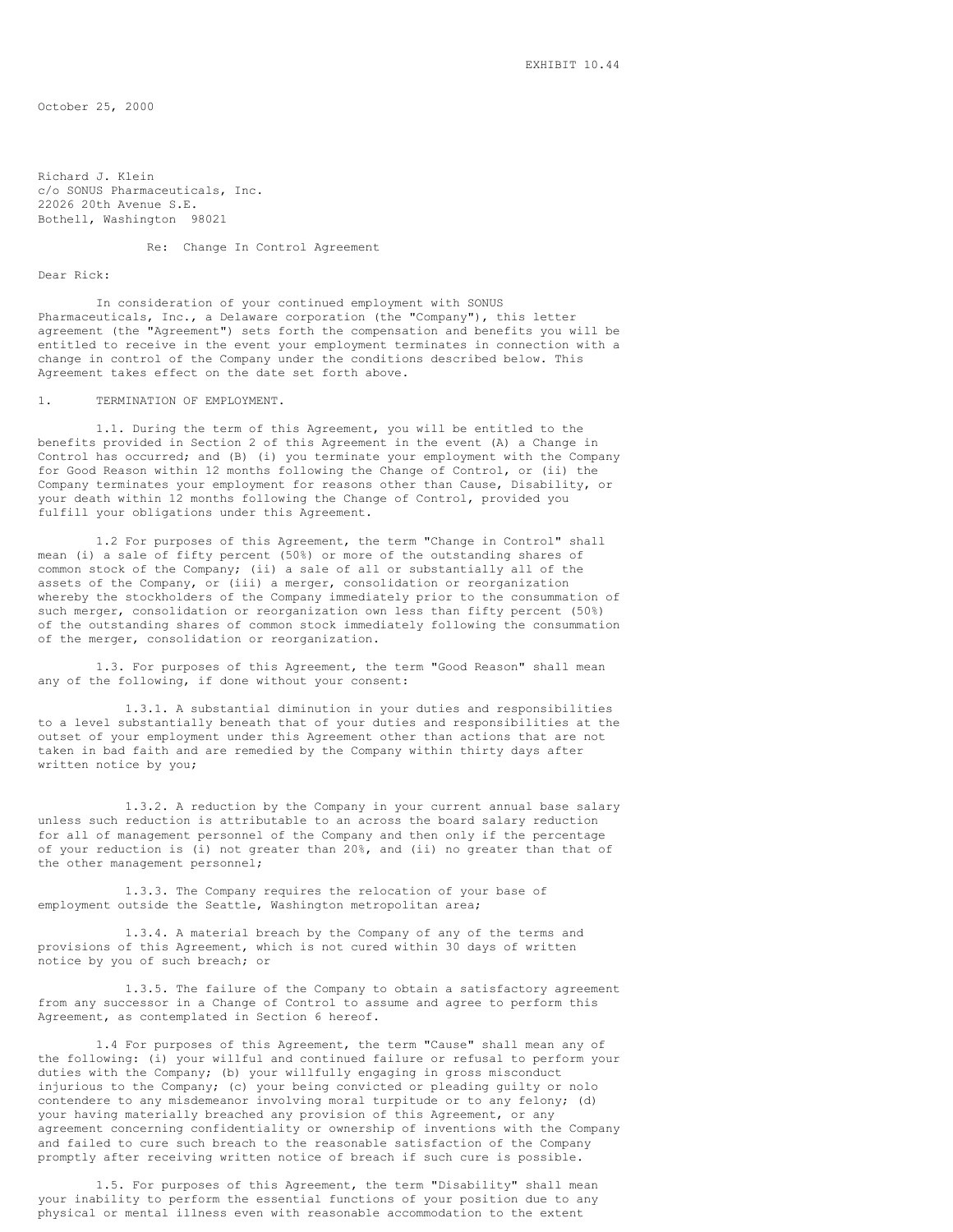October 25, 2000

Richard J. Klein c/o SONUS Pharmaceuticals, Inc. 22026 20th Avenue S.E. Bothell, Washington 98021

## Re: Change In Control Agreement

## Dear Rick:

In consideration of your continued employment with SONUS Pharmaceuticals, Inc., a Delaware corporation (the "Company"), this letter agreement (the "Agreement") sets forth the compensation and benefits you will be entitled to receive in the event your employment terminates in connection with a change in control of the Company under the conditions described below. This Agreement takes effect on the date set forth above.

## 1. TERMINATION OF EMPLOYMENT.

1.1. During the term of this Agreement, you will be entitled to the benefits provided in Section 2 of this Agreement in the event (A) a Change in Control has occurred; and (B) (i) you terminate your employment with the Company for Good Reason within 12 months following the Change of Control, or (ii) the Company terminates your employment for reasons other than Cause, Disability, or your death within 12 months following the Change of Control, provided you fulfill your obligations under this Agreement.

1.2 For purposes of this Agreement, the term "Change in Control" shall mean (i) a sale of fifty percent (50%) or more of the outstanding shares of common stock of the Company; (ii) a sale of all or substantially all of the assets of the Company, or (iii) a merger, consolidation or reorganization whereby the stockholders of the Company immediately prior to the consummation of such merger, consolidation or reorganization own less than fifty percent (50%) of the outstanding shares of common stock immediately following the consummation of the merger, consolidation or reorganization.

1.3. For purposes of this Agreement, the term "Good Reason" shall mean any of the following, if done without your consent:

1.3.1. A substantial diminution in your duties and responsibilities to a level substantially beneath that of your duties and responsibilities at the outset of your employment under this Agreement other than actions that are not taken in bad faith and are remedied by the Company within thirty days after written notice by you;

1.3.2. A reduction by the Company in your current annual base salary unless such reduction is attributable to an across the board salary reduction for all of management personnel of the Company and then only if the percentage of your reduction is (i) not greater than 20%, and (ii) no greater than that of the other management personnel;

1.3.3. The Company requires the relocation of your base of employment outside the Seattle, Washington metropolitan area;

1.3.4. A material breach by the Company of any of the terms and provisions of this Agreement, which is not cured within 30 days of written notice by you of such breach; or

1.3.5. The failure of the Company to obtain a satisfactory agreement from any successor in a Change of Control to assume and agree to perform this Agreement, as contemplated in Section 6 hereof.

1.4 For purposes of this Agreement, the term "Cause" shall mean any of the following: (i) your willful and continued failure or refusal to perform your duties with the Company; (b) your willfully engaging in gross misconduct injurious to the Company; (c) your being convicted or pleading guilty or nolo contendere to any misdemeanor involving moral turpitude or to any felony; (d) your having materially breached any provision of this Agreement, or any agreement concerning confidentiality or ownership of inventions with the Company and failed to cure such breach to the reasonable satisfaction of the Company promptly after receiving written notice of breach if such cure is possible.

1.5. For purposes of this Agreement, the term "Disability" shall mean your inability to perform the essential functions of your position due to any physical or mental illness even with reasonable accommodation to the extent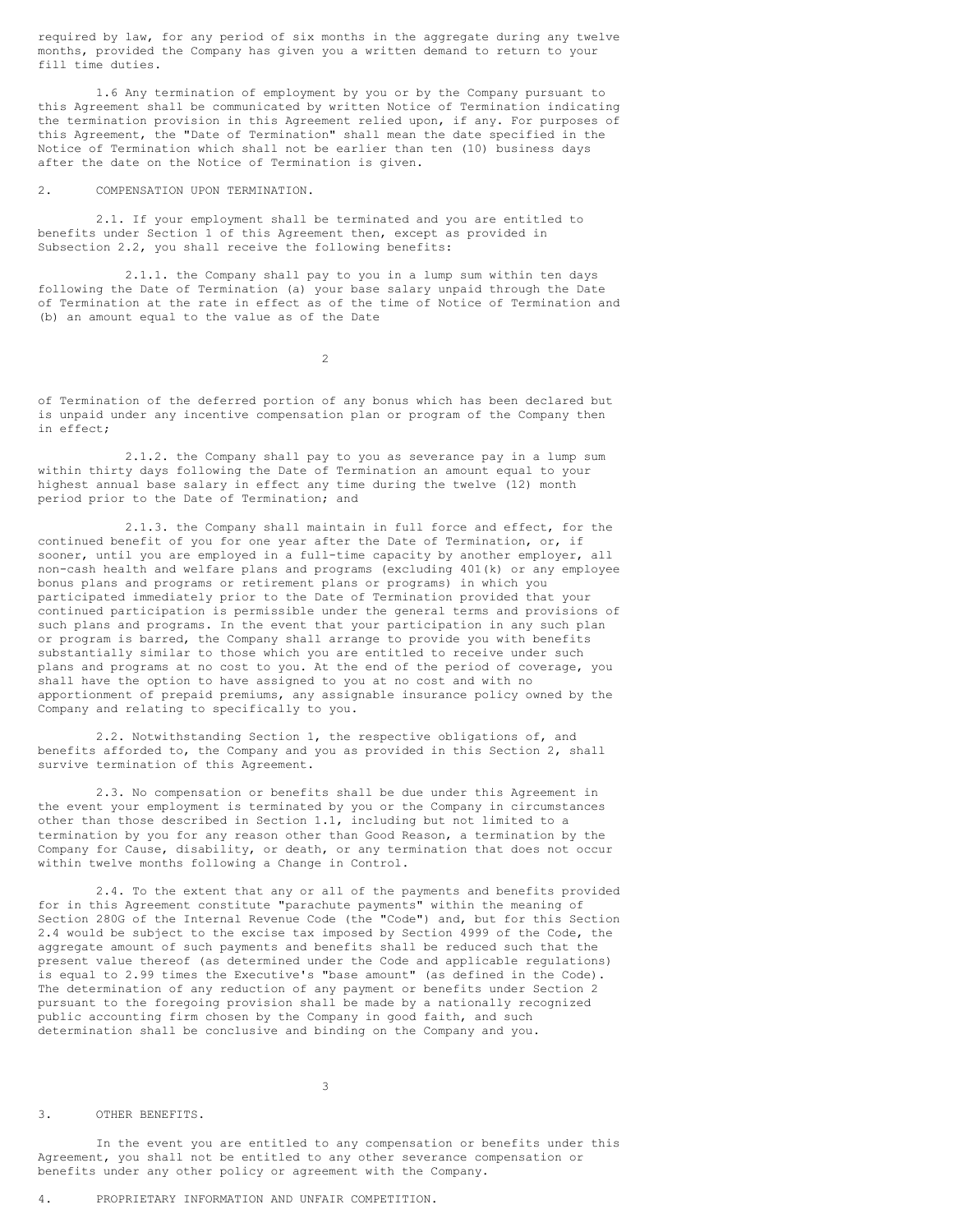required by law, for any period of six months in the aggregate during any twelve months, provided the Company has given you a written demand to return to your fill time duties.

1.6 Any termination of employment by you or by the Company pursuant to this Agreement shall be communicated by written Notice of Termination indicating the termination provision in this Agreement relied upon, if any. For purposes of this Agreement, the "Date of Termination" shall mean the date specified in the Notice of Termination which shall not be earlier than ten (10) business days after the date on the Notice of Termination is given.

## 2. COMPENSATION UPON TERMINATION.

2.1. If your employment shall be terminated and you are entitled to benefits under Section 1 of this Agreement then, except as provided in Subsection 2.2, you shall receive the following benefits:

2.1.1. the Company shall pay to you in a lump sum within ten days following the Date of Termination (a) your base salary unpaid through the Date of Termination at the rate in effect as of the time of Notice of Termination and (b) an amount equal to the value as of the Date

 $\overline{2}$ 

of Termination of the deferred portion of any bonus which has been declared but is unpaid under any incentive compensation plan or program of the Company then in effect;

2.1.2. the Company shall pay to you as severance pay in a lump sum within thirty days following the Date of Termination an amount equal to your highest annual base salary in effect any time during the twelve (12) month period prior to the Date of Termination; and

2.1.3. the Company shall maintain in full force and effect, for the continued benefit of you for one year after the Date of Termination, or, if sooner, until you are employed in a full-time capacity by another employer, all non-cash health and welfare plans and programs (excluding 401(k) or any employee bonus plans and programs or retirement plans or programs) in which you participated immediately prior to the Date of Termination provided that your continued participation is permissible under the general terms and provisions of such plans and programs. In the event that your participation in any such plan or program is barred, the Company shall arrange to provide you with benefits substantially similar to those which you are entitled to receive under such plans and programs at no cost to you. At the end of the period of coverage, you shall have the option to have assigned to you at no cost and with no apportionment of prepaid premiums, any assignable insurance policy owned by the Company and relating to specifically to you.

2.2. Notwithstanding Section 1, the respective obligations of, and benefits afforded to, the Company and you as provided in this Section 2, shall survive termination of this Agreement.

2.3. No compensation or benefits shall be due under this Agreement in the event your employment is terminated by you or the Company in circumstances other than those described in Section 1.1, including but not limited to a termination by you for any reason other than Good Reason, a termination by the Company for Cause, disability, or death, or any termination that does not occur within twelve months following a Change in Control.

2.4. To the extent that any or all of the payments and benefits provided for in this Agreement constitute "parachute payments" within the meaning of Section 280G of the Internal Revenue Code (the "Code") and, but for this Section 2.4 would be subject to the excise tax imposed by Section 4999 of the Code, the aggregate amount of such payments and benefits shall be reduced such that the present value thereof (as determined under the Code and applicable regulations) is equal to 2.99 times the Executive's "base amount" (as defined in the Code). The determination of any reduction of any payment or benefits under Section 2 pursuant to the foregoing provision shall be made by a nationally recognized public accounting firm chosen by the Company in good faith, and such determination shall be conclusive and binding on the Company and you.

3. OTHER BENEFITS.

In the event you are entitled to any compensation or benefits under this Agreement, you shall not be entitled to any other severance compensation or benefits under any other policy or agreement with the Company.

3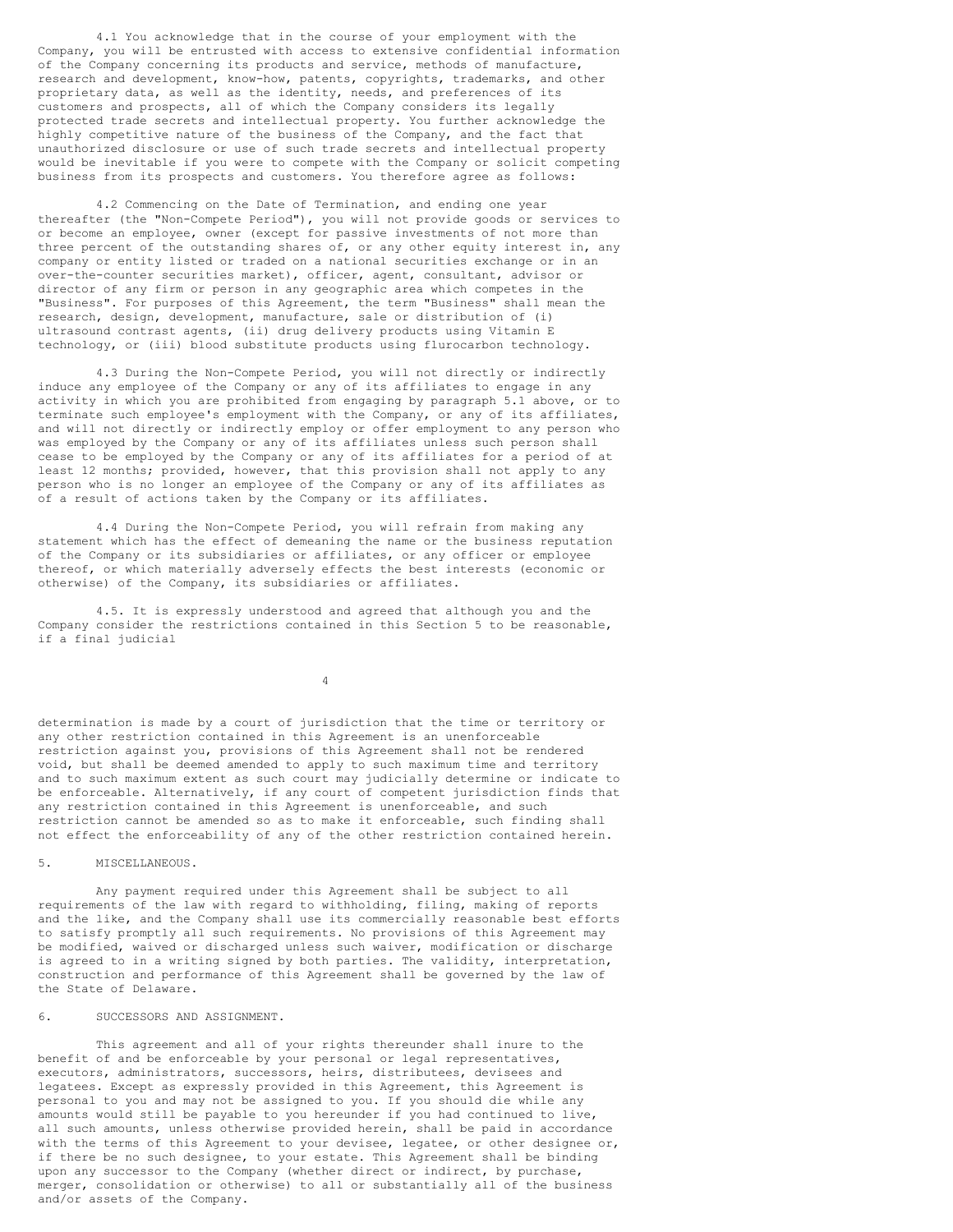4.1 You acknowledge that in the course of your employment with the Company, you will be entrusted with access to extensive confidential information of the Company concerning its products and service, methods of manufacture, research and development, know-how, patents, copyrights, trademarks, and other proprietary data, as well as the identity, needs, and preferences of its customers and prospects, all of which the Company considers its legally protected trade secrets and intellectual property. You further acknowledge the highly competitive nature of the business of the Company, and the fact that unauthorized disclosure or use of such trade secrets and intellectual property would be inevitable if you were to compete with the Company or solicit competing business from its prospects and customers. You therefore agree as follows:

4.2 Commencing on the Date of Termination, and ending one year thereafter (the "Non-Compete Period"), you will not provide goods or services to or become an employee, owner (except for passive investments of not more than three percent of the outstanding shares of, or any other equity interest in, any company or entity listed or traded on a national securities exchange or in an over-the-counter securities market), officer, agent, consultant, advisor or director of any firm or person in any geographic area which competes in the "Business". For purposes of this Agreement, the term "Business" shall mean the research, design, development, manufacture, sale or distribution of (i) ultrasound contrast agents, (ii) drug delivery products using Vitamin E technology, or (iii) blood substitute products using flurocarbon technology.

4.3 During the Non-Compete Period, you will not directly or indirectly induce any employee of the Company or any of its affiliates to engage in any activity in which you are prohibited from engaging by paragraph 5.1 above, or to terminate such employee's employment with the Company, or any of its affiliates, and will not directly or indirectly employ or offer employment to any person who was employed by the Company or any of its affiliates unless such person shall cease to be employed by the Company or any of its affiliates for a period of at least 12 months; provided, however, that this provision shall not apply to any person who is no longer an employee of the Company or any of its affiliates as of a result of actions taken by the Company or its affiliates.

4.4 During the Non-Compete Period, you will refrain from making any statement which has the effect of demeaning the name or the business reputation of the Company or its subsidiaries or affiliates, or any officer or employee thereof, or which materially adversely effects the best interests (economic or otherwise) of the Company, its subsidiaries or affiliates.

4.5. It is expressly understood and agreed that although you and the Company consider the restrictions contained in this Section 5 to be reasonable, if a final judicial

4

determination is made by a court of jurisdiction that the time or territory or any other restriction contained in this Agreement is an unenforceable restriction against you, provisions of this Agreement shall not be rendered void, but shall be deemed amended to apply to such maximum time and territory and to such maximum extent as such court may judicially determine or indicate to be enforceable. Alternatively, if any court of competent jurisdiction finds that any restriction contained in this Agreement is unenforceable, and such restriction cannot be amended so as to make it enforceable, such finding shall not effect the enforceability of any of the other restriction contained herein.

5. MISCELLANEOUS.

Any payment required under this Agreement shall be subject to all requirements of the law with regard to withholding, filing, making of reports and the like, and the Company shall use its commercially reasonable best efforts to satisfy promptly all such requirements. No provisions of this Agreement may be modified, waived or discharged unless such waiver, modification or discharge is agreed to in a writing signed by both parties. The validity, interpretation, construction and performance of this Agreement shall be governed by the law of the State of Delaware.

6. SUCCESSORS AND ASSIGNMENT.

This agreement and all of your rights thereunder shall inure to the benefit of and be enforceable by your personal or legal representatives, executors, administrators, successors, heirs, distributees, devisees and legatees. Except as expressly provided in this Agreement, this Agreement is personal to you and may not be assigned to you. If you should die while any amounts would still be payable to you hereunder if you had continued to live, all such amounts, unless otherwise provided herein, shall be paid in accordance with the terms of this Agreement to your devisee, legatee, or other designee or, if there be no such designee, to your estate. This Agreement shall be binding upon any successor to the Company (whether direct or indirect, by purchase, merger, consolidation or otherwise) to all or substantially all of the business and/or assets of the Company.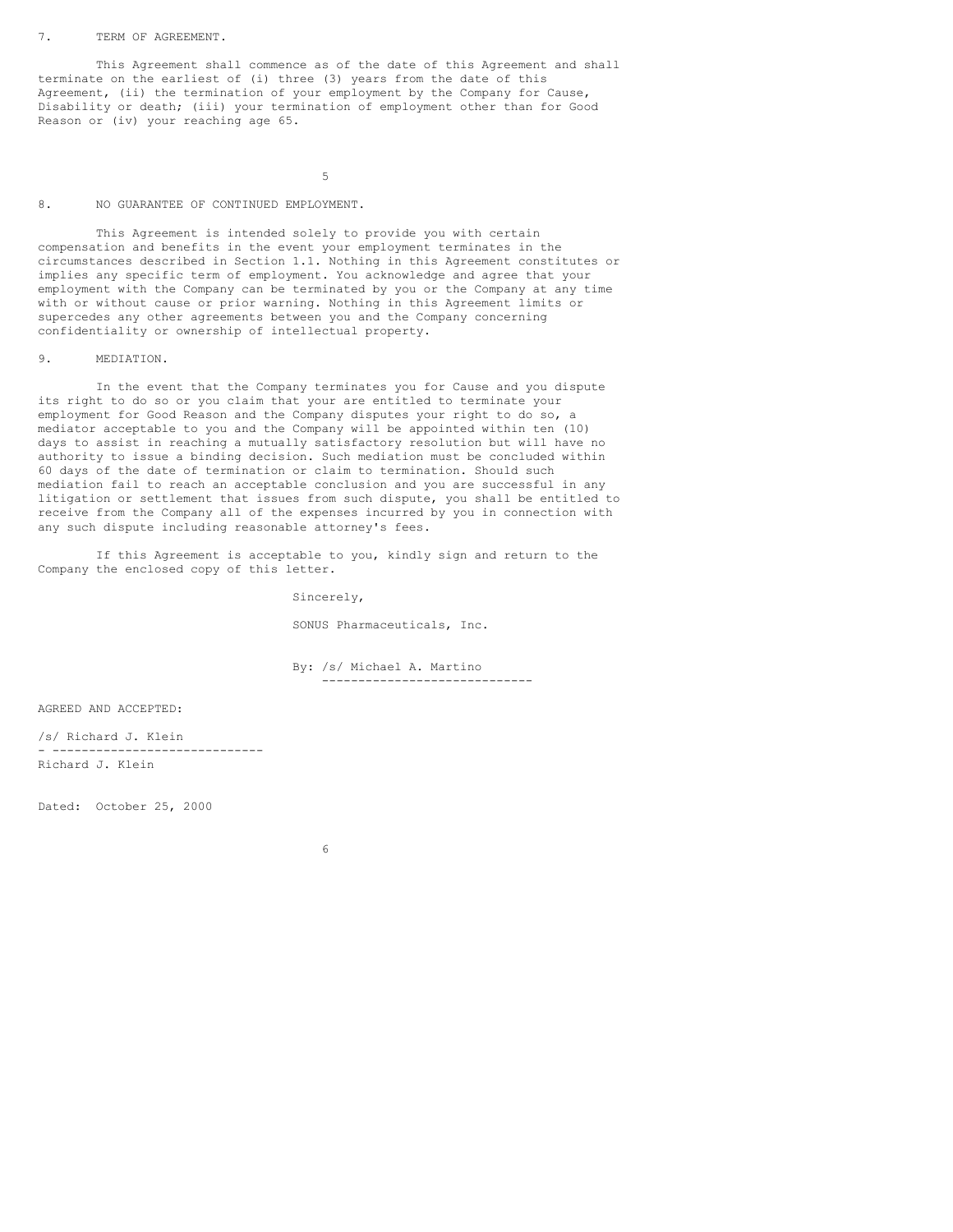#### 7. TERM OF AGREEMENT.

This Agreement shall commence as of the date of this Agreement and shall terminate on the earliest of (i) three (3) years from the date of this Agreement, (ii) the termination of your employment by the Company for Cause, Disability or death; (iii) your termination of employment other than for Good Reason or (iv) your reaching age 65.

5

## 8. NO GUARANTEE OF CONTINUED EMPLOYMENT.

This Agreement is intended solely to provide you with certain compensation and benefits in the event your employment terminates in the circumstances described in Section 1.1. Nothing in this Agreement constitutes or implies any specific term of employment. You acknowledge and agree that your employment with the Company can be terminated by you or the Company at any time with or without cause or prior warning. Nothing in this Agreement limits or supercedes any other agreements between you and the Company concerning confidentiality or ownership of intellectual property.

#### 9. MEDIATION.

In the event that the Company terminates you for Cause and you dispute its right to do so or you claim that your are entitled to terminate your employment for Good Reason and the Company disputes your right to do so, a mediator acceptable to you and the Company will be appointed within ten (10) days to assist in reaching a mutually satisfactory resolution but will have no authority to issue a binding decision. Such mediation must be concluded within 60 days of the date of termination or claim to termination. Should such mediation fail to reach an acceptable conclusion and you are successful in any litigation or settlement that issues from such dispute, you shall be entitled to receive from the Company all of the expenses incurred by you in connection with any such dispute including reasonable attorney's fees.

If this Agreement is acceptable to you, kindly sign and return to the Company the enclosed copy of this letter.

Sincerely,

SONUS Pharmaceuticals, Inc.

By: /s/ Michael A. Martino -----------------------------

AGREED AND ACCEPTED:

/s/ Richard J. Klein - ----------------------------- Richard J. Klein

Dated: October 25, 2000